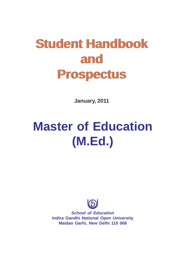# **Student Handbook Student Handbook and and Prospectus Prospectus**

**January, 2011**

# **Master of Education (M.Ed.)**



*School of Education* **Indira Gandhi National Open University Maidan Garhi, New Delhi 110 068**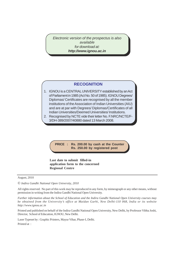*Electronic version of the prospectus is also available for download at: http://www.ignou.ac.in*

#### **RECOGNITION**

- 1. IGNOU is a CENTRAL UNIVERSITY established by an Act of Parliament in 1985 (Act No. 50 of 1985). IGNOU Degrees/ Diplomas/ Certificates are recognised by all the member institutions of the Association of Indian Universities (AIU) and are at par with Degrees/ Diplomas/Certificates of all Indian Universities/Deemed Universities/ Institutions.
- 2. Recognised by NCTE vide their letter No. F.NRC/NCTE/F-3/DH-389/2007/40880 dated 13 March 2008.

**PRICE : Rs. 200.00 by cash at the Counter Rs. 250.00 by registered post**

**Last date to submit filled-in application form to the concerned Regional Centre**

#### August, 2010

© *Indira Gandhi National Open University, 2010*

All rights reserved. No part of this work may be reproduced in any form, by mimeograph or any other means, without permission in writing from the Indira Gandhi National Open University.

*Further information about the School of Education and the Indira Gandhi National Open University courses may be obtained from the University's office at Maidan Garhi, New Delhi-110 068, India or its website http://www.ignou.ac.in*

Printed and published on behalf of the Indira Gandhi National Open University, New Delhi, by Professor Vibha Joshi, Director, School of Education, IGNOU, New Delhi.

Laser Typeset by : Graphic Printers, Mayur Vihar, Phase-I, Delhi. Printed at :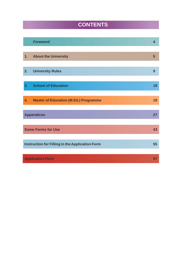# **CONTENTS**

|    | <b>Foreword</b>                                        | 4  |
|----|--------------------------------------------------------|----|
|    |                                                        |    |
| 1. | <b>About the University</b>                            | 5  |
|    |                                                        |    |
| 2. | <b>University Rules</b>                                | 9  |
|    |                                                        |    |
| 3. | <b>School of Education</b>                             | 18 |
|    |                                                        |    |
| 4. | <b>Master of Education (M.Ed.) Programme</b>           | 19 |
|    |                                                        |    |
|    | <b>Appendices</b>                                      | 27 |
|    |                                                        |    |
|    | <b>Some Forms for Use</b>                              | 43 |
|    |                                                        |    |
|    | <b>Instruction for Filling in the Application Form</b> | 55 |
|    |                                                        |    |
|    | <b>Application Form</b>                                | 57 |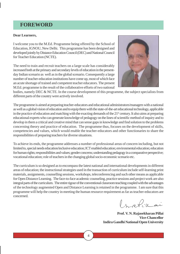### **FOREWORD**

#### **Dear Learners,**

I welcome you to the M.Ed. Programme being offered by the School of Education, IGNOU, New Delhi. This programme has been designed and developed jointly by Distance Education Council (DEC) and National Council for Teacher Education (NCTE).

The need to train and recruit teachers on a large scale has considerably increased both at the primary and secondary levels of education in the presentday Indian scenario as well as in the global scenario. Consequently a large number of teacher-education institutions have come up, most of which face an acute shortage of trained and competent teacher educators. The present M.Ed. programme is the result of the collaborative efforts of two national



bodies, namely DEC & NCTE. In the course development of this programme, the subject specialists from different parts of the country were actively involved.

The programme is aimed at preparing teacher-educators and educational administrators/managers with a national as well as a global vision of education and to equip them with the state-of-the-art educational technology, applicable in the practice of education and matching with the exacting demands of the  $21<sup>st</sup>$  century. It also aims at preparing educational experts who can generate knowledge of pedagogy on the lines of scientific method of inquiry and to develop in them a critical and creative mind that can sense gaps in knowledge and find solution to the problems concerning theory and practice of education. The programme thus, focuses on the development of skills, competencies and values, which would enable the teacher-educators and other functionaries to share the responsibilities of preparing teachers for diverse situations.

To achieve its ends, the programme addresses a number of professional areas of concern including, but not limited to, special needs education/inclusive education; ICT enabled education; environmental education; education for human rights; responsibilities and values; gender concerns; understanding pedagogy in a comparative perspective; vocational education; role of teachers in the changing global socio-economic scenario etc.

The curriculum is so designed as to encompass the latest national and international developments in different areas of education; the instructional strategies used in the transaction of curriculum include self-learning print materials, assignments, counselling sessions, workshops, teleconferencing and such other means as applicable for Open Distance Learning. The face-to-face academic counseling, practice sessions and project work are also integral parts of the curriculum. The entire rigour of the conventional classroom teaching coupled with the advantages of the technology augmented Open and Distance Learning is retained in the programme. I am sure that this programme will help the country in meeting the human resource requirement as far as teacher-educators are concerned.

Inglicai

**Prof. V. N. Rajasekharan Pillai Vice-Chancellor Indira Gandhi National Open University**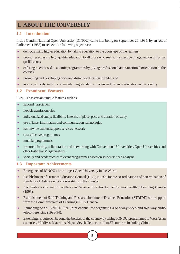# **1. ABOUT THE UNIVERSITY**

#### **1.1 Introduction**

Indira Gandhi National Open University (IGNOU) came into being on September 20, 1985, by an Act of Parliament (1985) to achieve the following objectives:

- democratizing higher education by taking education to the doorsteps of the learners:
- providing access to high quality education to all those who seek it irrespective of age, region or formal qualifications;
- offering need-based academic programmes by giving professional and vocational orientation to the courses;
- promoting and developing open and distance education in India; and
- as an apex body, setting and maintaining standards in open and distance education in the country.

#### **1.2 Prominent Features**

IGNOU has certain unique features such as:

- national jurisdiction
- flexible admission rules
- individualized study: flexibility in terms of place, pace and duration of study
- use of latest information and communication technologies
- nationwide student support services network
- cost-effective programmes
- modular programmes
- resource sharing, collaboration and networking with Conventional Universities, Open Universities and other Institutions/Organizations
- socially and academically relevant programmes based on students' need analysis

#### **1.3 Important Achievements**

- Emergence of IGNOU as the largest Open University in the World.
- Establishment of Distance Education Council (DEC) in 1992 for the co-ordination and determination of standards of distance education systems in the country.
- Recognition as Centre of Excellence in Distance Education by the Commonwealth of Learning, Canada (1993).
- Establishment of Staff Training and Research Institute in Distance Education (STRIDE) with support from the Commonwealth of Learning (COL), Canada.
- Launching of an IGNOU-ISRO joint channel for organizing a one-way video and two-way audio teleconferencing (1993-94).
- Extending its outreach beyond the borders of the country by taking IGNOU programmes to West Asian countries, Maldives, Mauritius, Nepal, Seychelles etc. in all to 37 countries including China.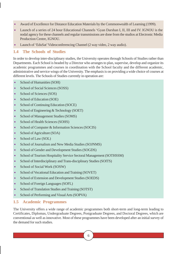- Award of Excellence for Distance Education Materials by the Commonwealth of Learning (1999).
- Launch of a series of 24 hour Educational Channels 'Gyan Darshan I, II, III and IV. IGNOU is the nodal agency for these channels and regular transmissions are done from the studios at Electronic Media Production Centre, IGNOU.
- Launch of 'EduSat' Videoconferencing Channel (2 way video, 2 way audio).

#### **1.4 The Schools of Studies**

In order to develop inter-disciplinary studies, the University operates through Schools of Studies rather than Departments. Each School is headed by a Director who arranges to plan, supervise, develop and organize its academic programmes and courses in coordination with the School faculty and the different academic, administrative and service wings of the University. The emphasis is on providing a wide choice of courses at different levels. The Schools of Studies currently in operation are:

- School of Humanities (SOH)
- School of Social Sciences (SOSS)
- School of Sciences (SOS)
- School of Education (SOE)
- School of Continuing Education (SOCE)
- School of Engineering & Technology (SOET)
- School of Management Studies (SOMS)
- School of Health Sciences (SOHS)
- School of Computer & Information Sciences (SOCIS)
- School of Agriculture (SOA)
- School of Law (SOL)
- School of Journalism and New Media Studies (SOJNMS)
- School of Gender and Development Studies (SOGDS)
- School of Tourism Hospitality Service Sectoral Management (SOTHSSM)
- School of Interdisciplinary and Trans-disciplinary Studies (SOITS)
- School of Social Work (SOSW)
- School of Vocational Education and Training (SOVET)
- School of Extension and Development Studies (SOEDS)
- School of Foreign Languages (SOFL)
- School of Translation Studies and Training (SOTST)
- School of Performing and Visual Arts (SOPVA)

#### **1.5 Academic Programmes**

The University offers a wide range of academic programmes both short-term and long-term leading to Certificates, Diplomas, Undergraduate Degrees, Postgraduate Degrees, and Doctoral Degrees, which are conventional as well as innovative. Most of these programmes have been developed after an initial survey of the demand for such studies.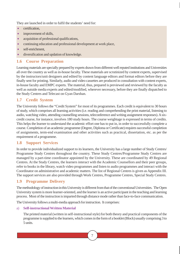They are launched in order to fulfil the students' need for:

- certification,
- improvement of skills,
- acquisition of professional qualifications,
- continuing education and professional development at work place,
- self-enrichment.
- diversification and updation of knowledge.

#### **1.6 Course Preparation**

Learning materials are specially prepared by experts drawn from different well reputed institutions and Universities all over the country as well as in-house faculty. These materials are scrutinized by content experts, supervised by the instructors/unit designers and edited by content language editors and format editors before they are finally sent for printing. Similarly, audio and video cassettes are produced in consultation with content experts, in-house faculty and EMPC experts. The material, thus, prepared is previewed and reviewed by the faculty as well as outside media experts and edited/modified, wherever necessary, before they are finally dispatched to the Study Centres and Telecast on Gyan Darshan.

#### **1.7 Credit System**

The University follows the "Credit System" for most of its programmes. Each credit is equivalent to 30 hours of study, which comprises all learning activities (i.e. reading and comprehending the print material, listening to audio, watching video, attending counselling sessions, teleconference and writing assignment responses). A sixcredit course, for instance, involves 180 study hours. The course weightage is expressed in terms of credits. This helps the learner to understand the academic effort one has to put in, in order to successfully complete a course. Completion of an academic programme (Degree, Diploma or Certificate) requires successful completion of assignments, term-end examination and other activities such as practical, dissertation, etc. as per the requirement of a programme.

#### **1.8 Support Services**

In order to provide individualized support to its learners, the University has a large number of Study Centres/ Programme Study Centres throughout the country. These Study Centres/Programme Study Centres are managed by a part-time coordinator appointed by the University. These are coordinated by 49 Regional Centres. At the Study Centres, the learners interact with the Academic Counsellors and their peer groups, refer to books in the library, watch video programmes and listen to audio programmes and interact with the Coordinator on administrative and academic matters. The list of Regional Centres is given as Appendix III. The support services are also provided through Work Centres, Programme Centres, Special Study Centres.

#### **1.9 Programme Delivery**

The methodology of instruction in this University is different from that of the conventional Universities. The Open University system is more learner-oriented, and the learner is an active participant in the teaching and learning process. Most of the instruction is imparted through distance mode rather than face-to-face communication.

The University follows a multi-media approach for instruction. It comprises:

#### a) **Self-instructional Written Material**

The printed material (written in self-instructional style) for both theory and practical components of the programme is supplied to the learners, which comes in the form of a booklet (Block) usually comprising 3 to 5 units.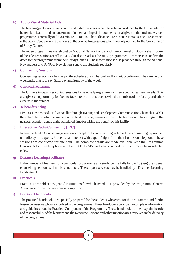#### b) **Audio-Visual Material Aids**

The learning package contains audio and video cassettes which have been produced by the University for better clarification and enhancement of understanding of the course material given to the student. A video programme is normally of 25-30 minutes duration. The audio tapes are run and video cassettes are screened at the Study Centres during the hours of the counselling sessions which are duly notified by the Co-ordinator of Study Centre.

The video programmes are telecast on National Network and enrichment channel of Doordarshan. Some of the selected stations of All India Radio also broadcast the audio programmes. Learners can confirm the dates for the programme from their Study Centres. The information is also provided through the National Newspapers and IGNOU Newsletters sent to the students regularly.

#### c) **Counselling Sessions**

Counselling sessions are held as per the schedule drawn beforehand by the Co-ordinator. They are held on weekends, that is to say, Saturday and Sunday of the week.

#### d) **Contact Programme**

The University organises contact sessions for selected programmes to meet specific learners' needs. This also gives an opportunity for face-to-face interaction of students with the members of the faculty and other experts in the subject.

#### e) **Teleconferencing**

Live sessions are conducted via satellite through Training and Development Communication Channel (TDCC), the schedule for which is made available at the programme centres. The learner will have to go to the nearest reception centre at the scheduled time for taking the benefit of this facility.

#### f) **Interactive Radio Counselling (IRC)**

Interactive Radio Counselling is a recent concept in distance learning in India. Live counselling is provided on radio by the experts. Students can interact with experts' right from their homes on telephone. These sessions are conducted for one hour. The complete details are made available with the Programme Centres. A toll free telephone number 1800112345 has been provided for this purpose from selected cities.

#### g) **Distance Learning Facilitator**

If the number of learners for a particular programme at a study centre falls below 10 (ten) then usual counselling sessions will not be conducted. The support services may be handled by a Distance Learning Facilitator (DLF).

#### h) **Practicals**

Practicals are held at designated institutions for which schedule is provided by the Programme Centre. Attendance in practical sessions is compulsory.

#### i) **Practical Handbooks**

The practical handbooks are specially prepared for the students who enrol for the programme and for the Resource Persons who are involved in the programme. These handbooks provide the complete information and guideline about the Practical Component of the Programme. These handbooks further explain the role and responsibility of the learners and the Resource Persons and other functionaries involved in the delivery of the programme.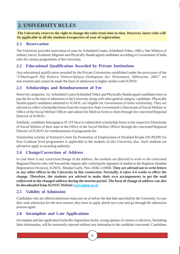# **2. UNIVERSITY RULES**

**The University reserves the right to change the rules from time to time. However, latest rules will be applicable to all the students irrespective of year of registration.**

#### **2.1 Reservation**

The University provides reservation of seats for Scheduled Castes, Scheduled Tribes, OBCs, War Widows of military forces, Kashimir Migrants and Physically Handicapped candidates according to Government of India rules for various programmes of the University.

#### **2.2 Educational Qualification Awarded by Private Institutions**

Any educational qualification awarded by the Private Universities established under the provisions of the "*Chhattisgarh Niji Kshetra Vishwavidylaya (Sathapana Aur Viniyaman), Adhiniyam, 2002"* are non-existent and cannot be made the basis of admission to higher studies with IGNOU.

#### **2.3 Scholarships and Reimbursement of Fee**

Reserved categories, viz. Scheduled Castes/Scheduled Tribes and Physically Handicapped candidates have to pay the fee at the time of admission to the University along with other general category candidates. Physically Handicapped candidates admitted to IGNOU are eligible for Government of India scholarship. They are advised to collect scholarship forms from the respective State Government's Directorate of Social Welfare or Office of the Social Welfare Officer and submit the filled-in forms to them through the concerned Regional Director of IGNOU .

Similarly, candidates belonging to SC/ST have to submit their scholarship forms to the respective Directorate of Social Welfare of their state or the Office of the Social Welfare Officer through the concerned Regional Director of IGNOU for reimbursement of programme fee.

Scholarship scheme of National Centre for Promotion of Employment of Disabled People (NCPEDP) for Post Graduate level programmes is applicable to the students of this University also. Such students are advised to apply to awarding authority.

#### **2.4 Change/Correction of Address**

In case there is any correction/change in the address, the students are directed to write to the concerned Regional Director who will forward the request after verifying the signature of student to the Registrar (Student Registration Division), IGNOU, Maidan Garhi, New Delhi-110068. **They are advised not to write letters to any other officer in the University in this connection. Normally, it takes 4-6 weeks to effect the change. Therefore, the students are advised to make their own arrangements to get the mail redirected to the changed address during the interim period. The form of change of address can also be downloaded from IGNOU Website www.ignou.ac.in**

#### **2.5 Validity of Admission**

Candidates who are offered admission must join on or before the due date specified by the University. In case they seek admission for the next session, they have to apply afresh next year and go through the admission process again.

#### **2.6 Incomplete and Late Applications**

Incomplete and late application forms/Re-registration forms, wrong options of courses or electives, furnishing false information, will be summarily rejected without any intimation to the candidate concerned. Candidates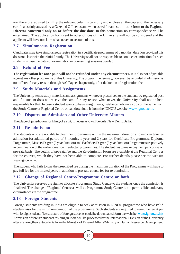are, therefore, advised to fill up the relevant columns carefully and enclose all the copies of the necessary certificates duly attested by a Gazetted Officer as and when asked for and **submit the form to the Regional Director concerned only on or before the due date**. In this connection no correspondence will be entertained. The application form sent to other offices of the University will not be considered and the applicant will have no claim whatsoever an account of this.

#### **2.7 Simultaneous Registration**

Candidates may take simultaneous registration in a certificate programme of 6 months' duration provided this does not clash with their initial study. The University shall not be responsible to conduct examination for such students in case the dates of examination or counselling sessions overlap.

#### **2.8 Refund of Fee**

**The registration fee once paid will not be refunded under any circumstances.** It is also not adjustable against any other programme of this University. The programme fee may, however, be refunded if admission is not offered for any reason through A/C Payee cheque only, after deduction of registration fee.

#### **2.9 Study Materials and Assignments**

The University sends study materials and assignments wherever prescribed to the students by registered post and if a student does not receive the same for any reason whatsoever, the University shall not be held responsible for that. In case a student wants to have assignments, he/she can obtain a copy of the same from the Study Centre or Regional Centre or can download it from the IGNOU website: www.ignou.ac.in.

#### **2.10 Disputes on Admission and Other University Matters**

The place of jurisdiction for filing of a suit, if necessary, will be only New Delhi/Delhi.

#### **2.11 Re-admission**

The students who are not able to clear their programme within the maximum duration allowed can take readmission for additional period of 6 months, 1 year and 2 years for Certificate Programmes, Diploma Programmes, Masters Degree (2 year duration) and Bachelors Degree (3 year duration) Programmes respectively in continuation of the earlier duration in selected programmes. The student has to make payment per course on pro-rata basis. The details of pro-rata fee and the Re-admission Form are available at the Regional Centres for the courses, which they have not been able to complete. For further details please see the website www.ignou.ac.in.

The student who fails to pay the prescribed fee during the maximum duration of the Programme will have to pay full fee for the missed years in addition to pro-rata course fee for re-admission.

#### **2.12 Change of Regional Centre/Programme Centre or both**

The University reserves the right to allocate Programme Study Centre to the students once the admission is finalized. The change of Regional Centre as well as Programme Study Centre is not permissible under any circumstances in the programme.

#### **2.13 Foreign Students**

Foreign students residing in India are eligible to seek admission in IGNOU programme who have **valid student visa** for the minimum duration of the programme. Such students are required to remit the fee at par with foreign students (fee structure of foreign students could be downloaded form the website: **www.ignou.ac.in**). Admission of foreign students residing in India will be processed by the International Division of the University after ensuring their antecedents from the Ministry of External Affairs/Ministry of Human Resource Development.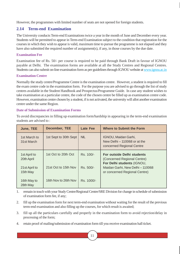However, the programmes with limited number of seats are not opened for foreign students.

#### **2.14 Term-end Examination**

The University conducts Term-end Examinations twice a year in the month of June and December every year. Students will be permitted to appear in Term-end Examination subject to the condition that registration for the courses in which they wish to appear is valid, maximum time to pursue the programme is not elapsed and they have also submitted the required number of assignment(s), if any, in those courses by the due date.

#### **Examination Fee**

Examination fee of Rs. 50/- per course is required to be paid through Bank Draft in favour of IGNOU payable at Delhi. The examination forms are available at all the Study Centres and Regional Centres. Students can also submit on-line examination form as per guidelines through IGNOU website at www.ignou.ac.in

#### **Examination Centre**

Normally the study centre/Programme Centre is the examination centre. However, a student is required to fill the exam centre code in the examination form. For the purpose you are advised to go through the list of study centres available in the Student Handbook and Prospectus/Programme Guide. In case any student wishes to take examination at a particular centre, the code of the chosen centre be filled up as examination centre code. However, examination centre chosen by a student, if is not activated, the university will allot another examination centre under the same Region.

#### **Date of Submission of Examination Forms**

To avoid discrepancies in filling up examination form/hardship in appearing in the term-end examination students are advised to :

| June, TEE                  | <b>December, TEE</b>  | <b>Late Fee</b> | <b>Where to Submit the Form</b>                                                                |
|----------------------------|-----------------------|-----------------|------------------------------------------------------------------------------------------------|
| 1st March to<br>31st March | 1st Sept to 30th Sept | <b>NIL</b>      | IGNOU, Maidan Garhi,<br>New Delhi - 110068 or at the<br>concerned Regional Centre              |
| 1st April to<br>20th April | 1st Oct to 20th Oct   | Rs. 100/-       | <b>For outside Delhi students</b><br>(Concerned Regional Centre)<br>For Delhi students (IGNOU, |
| 21st April to<br>15th May  | 21st Oct to 15th Nov  | $Rs. 500/-$     | Maidan Garhi, New Delhi - 110068<br>or concerned Regional Centre)                              |
| 16th May to<br>28th May    | 16th Nov to 26th Nov  | Rs. 1000/-      |                                                                                                |

1. remain in touch with your Study Centre/Regional Centre/SRE Division for change in schedule of submission of examination form fee, if any;

- 2. fill up the examination form for next term-end examination without waiting for the result of the previous term-end examination and also filling up the courses, for which result is awaited;
- 3. fill up all the particulars carefully and properly in the examination form to avoid rejection/delay in processing of the form;
- 4. retain proof of mailing/submission of examination form till you receive examination hall ticket.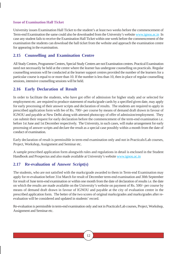#### **Issue of Examination Hall Ticket**

University issues Examination Hall Ticket to the student's at least two weeks before the commencement of Term-end Examination the same could also be downloaded from the University's website www.ignou.ac.in In case any student fails to receive the Examination Hall Ticket within one week before the commencement of the examination the students can download the hall ticket from the website and approach the examination centre for appearing in the examination.

#### **2.15 Counselling and Examination Centre**

All Study Centres, Programme Centres, Special Study Centres are not Examination centres. Practical Examination need not necessarily be held at the centre where the learner has undergone counselling on practicals. Regular counselling sessions will be conducted at the learner support centres provided the number of the learners for a particular course is equal to or more than 10. If the number is less than 10, then in place of regular counselling sessions, intensive counselling sessions will be held.

#### **2.16 Early Declaration of Result**

In order to facilitate the students, who have got offer of admission for higher study and or selected for employment etc. are required to produce statement of marks/grade cards by a specified given date, may apply for early processing of their answer scripts and declaration of results. The students are required to apply in prescribed application form with fee of Rs. 700/- per course by means of demand draft drawn in favour of IGNOU and payable at New Delhi along with attested photocopy of offer of admission/employment. They can submit their request for early declaration before the commencement of the term-end examination i.e. before 1st June and 1st December respectively. The University, in such cases, will make arrangement for early processing of answer scripts and declare the result as a special case possibly within a month from the date of conduct of examination.

Early declaration of result is permissible in term-end examination only and not in Practicals/Lab courses, Project, Workshop, Assignment and Seminar etc.

A sample prescribed application form alongwith rules and regulations in detail is enclosed in the Student Handbook and Prospectus and also made available at University's website www.ignou.ac.in

#### **2.17 Re-evaluation of Answer Script(s)**

The students, who are not satisfied with the marks/grade awarded to them in Term-end Examination may apply for re-evaluation before 31st March for result of December term-end examination and 30th September for result of June term-end examination or within one month from the date of declaration of results i.e. the date on which the results are made available on the University's website on payment of Rs. 500/- per course by means of demand draft drawn in favour of IGNOU and payable at the city of evaluation centre in the prescribed application form. The better of the two scores of original marks/grades and marks/grades after reevaluation will be considered and updated in students' record.

Re-evaluation is permissible in term-end examination only and not in Practicals/Lab courses, Project, Workshop, Assignment and Seminar etc.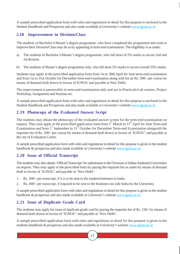A sample prescribed application form with rules and regulations in detail for this purpose is enclosed in the Student Handbook and Prospectus and also made available at University's website www.ignou.ac.in

#### **2.18 Improvement in Division/Class**

The students of Bachelor's/Master's degree programme, who have completed the programme and wish to improve their Division/Class may do so by appearing in term-end examination. The eligibility is as under:

- a) The students of Bachelor's/Master's degree programme, who fall short of 2% marks to secure 2nd and 1st division.
- b) The students of Master's degree programme only, who fall short 2% marks to secure overall 55% marks.

Students may apply in the prescribed application form from 1st to 30th April for June term-end examination and from 1st to 31st October for December term-end examination along with fee @ Rs. 500/- per course by means of demand draft drawn in favour of IGNOU and payable at New Delhi.

The improvement is permissible in term-end examination only and not in Practicals/Lab courses, Project Workshop, Assignment and Seminar etc.

A sample prescribed application form with rules and regulations in detail for this purpose is enclosed in the Student Handbook and Prospectus and also made available at University's website www.ignou.ac.in

#### **2.19 Photocopy of the Evaluated Answer Script**

The students may obtain the photocopy of the evaluated answer scripts for the term-end examination on request. They may apply in the prescribed application form from  $1<sup>st</sup>$  March to  $15<sup>th</sup>$  April for June Term-end Examination and from  $1<sup>st</sup>$  September to  $15<sup>th</sup>$  October for December Term-end Examination alongwith the requisite fee of Rs. 100/- per course by means of demand draft drawn in favour of 'IGNOU' and payable at the city of Evaluation Centre.

A sample prescribed application form with rules and regulations in detail for this purpose is given in the student handbook & prospectus and also made available at University's website www.ignou.ac.in

#### **2.20 Issue of Official Transcript**

The students may also obtain 'Official Transcript' for submission to the Overseas or Indian Institutes/Universities on request. They may apply in the prescribed form by paying the requisite fee as under by means of demand draft in favour of 'IGNOU' and payable at 'New Delhi':

- 1. Rs. 200/- per transcript, if it is to be sent to the student/institutes in India.
- 2. Rs. 400/- per transcript, if required to be sent to the Institutes out side India by the University.

A sample prescribed application form with rules and regulations in detail for this purpose is given in the student handbook & prospectus and also made available at University's website www.ignou.ac.in

#### **2.21 Issue of Duplicate Grade Card**

The students may apply for issue of duplicate grade card by paying the requisite fee of Rs. 150/- by means of demand draft drawn in favour of 'IGNOU' and payable at 'New Delhi'.

A sample prescribed application form with rules and regulations in detail for this purpose is given in the students handbook & prospectus and also made available at University's website www.ignou.ac.in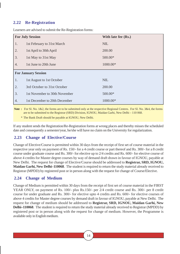#### **2.22 Re-Registration**

Learners are advised to submit the Re-Registration forms:

|                            | <b>For July Session</b>       | With late fee (Rs.) |  |  |
|----------------------------|-------------------------------|---------------------|--|--|
| 1.                         | 1st February to 31st March    | <b>NIL</b>          |  |  |
| 2.                         | 1st April to 30th April       | 200.00              |  |  |
| 3.                         | 1st May to 31st May           | 500.00*             |  |  |
| $\overline{4}$ .           | 1st June to 20th June         | 1000.00*            |  |  |
| <b>For January Session</b> |                               |                     |  |  |
| 1.                         | 1st August to 1st October     | <b>NIL</b>          |  |  |
| 2.                         | 3rd October to 31st October   | 200.00              |  |  |
| 3.                         | 1st November to 30th November | 500.00*             |  |  |
| 4.                         | 1st December to 20th December | 1000.00*            |  |  |

Note : For Sl. No. 1&2, the forms are to be submitted only at the respective Regional Centres. For Sl. No. 3&4, the forms are to be submitted to the Registrar (SRD) Division, IGNOU, Maidan Garhi, New Delhi – 110 068.

\* The Bank Draft should be payable at IGNOU, New Delhi.

If any student sends the Registration/Re-Registration forms at wrong places and thereby misses the scheduled date and consequently a semester/year, he/she will have no claim on the University for regularization.

#### **2.23 Change of Elective/Course**

Change of Elective/Course is permitted within 30 days from the receipt of first set of course material in the respective year only on payment of Rs. 150/- for a 4 credit course or part thereof and Rs. 300/- for a 8 credit course under graduate course and Rs. 300/- for elective up to 2/4 credits and Rs. 600/- for elective course of above 4 credits for Master degree courses by way of demand draft drawn in favour of IGNOU, payable at New Delhi. The request for change of Elective/Course should be addressed to **Registrar, SRD, IGNOU, Maidan Garhi, New Delhi–110068**. The student is required to return the study material already received to Registrar (MPDD) by registered post or in person along with the request for change of Course/Elective.

#### **2.24 Change of Medium**

Change of Medium is permitted within 30 days from the receipt of first set of course material in the FIRST YEAR ONLY, on payment of Rs. 100/- plus Rs.150/- per 2/4 credit course and Rs. 300/- per 8 credit course for under graduate and Rs. 300/- for elective upto 4 credits and Rs. 600/- for elective courses of above 4 credits for Master degree courses by demand draft in favour of IGNOU, payable at New Delhi. The request for change of medium should be addressed to **Registrar, SRD, IGNOU, Maidan Garhi, New Delhi–110068**. The student is required to return the study material already received to Registrar (MPDD) by registered post or in person along with the request for change of medium. However, the Programme is available only in English medium.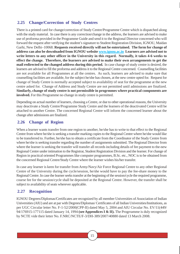#### **2.25 Change/Correction of Study Centres**

There is a printed card for change/correction of Study Centre/Programme Centre which is dispatched along with the study material. In case there is any correction/change in the address, the learners are advised to make use of proforma provided in the Programme Guide and send it to the Regional Director concerned who will forward the request after verifying the student's signature to Student Registration Division, IGNOU, Maidan Garhi, New Delhi–10068. **Requests received directly will not be entertained. The form for change of address can also be downloaded from IGNOU website www.ignou.ac.in Learners are advised not to write letters to any other officer in the University in this regard. Normally, it takes 4-6 weeks to effect the change. Therefore, the learners are advised to make their own arrangements to get the mail redirected to the changed address during this period.** In case change of study centre is desired, the learners are advised to fill the proforma and address it to the Regional Centre concerned. Counselling facilities are not available for all Programmes at all the centres. As such, learners are advised to make sure that counselling facilities are available, for the subject he/she has chosen, at the new centre opted for. Request for change of Study Centre is normally accepted subject to availability of seat for the programme at the new centre asked for. Change of Address and Study Centre are not permitted until admissions are finalized. **Similarly, change of study centre is not permissible in progrmmes where practical components are involved.** For this Programme no change in study centre is permitted.

Depending on actual number of learners, choosing a Centre, or due to other operational reasons, the University may deactivate a Study Centre/Programme Study Centre and the learners of the deactivated Centre will be attached to another Centre. The concerned Regional Centre will inform the concerned learner about the change after admissions are finalized.

#### **2.26 Change of Region**

When a learner wants transfer from one region to another, he/she has to write to that effect to the Regional Centre from where he/she is seeking a transfer marking copies to the Regional Centre where he/she would like to be transferred to. Further, he/she has to obtain a certificate from the Coordinator of the Study Centre from where he/she is seeking transfer regarding the number of assignments submitted. The Regional Director from where the learner is seeking the transfer will transfer all records including details of fee payment to the-new Regional Centre under intimation to the Registrar, Student Registration Division and the learner. For change of Region in practical oriented Programmes like computer programmes, B.Sc. etc., NOC is to be obtained from the concerned Regional Centre/Study Centre where the learner wishes his/her transfer.

In case any learner is keen for transfer from Army/Navy/Air Force Regional Centre to any other Regional Centre of the University during the cycle/session, he/she would have to pay the fee-share money to the Regional Centre. In case the learner seeks transfer at the beginning of the session/cycle the required programme, course fee for the session/cycle shall be deposited at the Regional Centre. However, the transfer shall be subject to availability of seats wherever applicable.

#### **2.27 Recognition**

IGNOU Degrees/Diplomas/Certificates are recognized by all member Universities of Association of Indian Universities (AIU) and are at par with Degrees/Diplomas/ Certificates of all Indian Universities/Institutions, as per UGC Circular letter No. F-1-52/2000(CPP-II) dated May 5, 2004 and AIU Circular No. EV/11(449/ 94/176915-177115 dated January 14, 1994 **(see Appendices I & II).** The Progrramme is duly recognized by NCTE vide their letter No. F.NRC/NCTE/F-3/DH-389/2007/40880 dated 13 March 2008.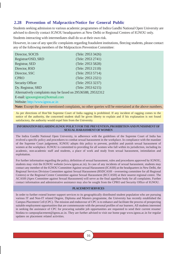#### **2.28 Prevention of Malpractice/Notice for General Public**

Students seeking admission to various academic programmes of Indira Gandhi National Open University are advised to directly contact IGNOU headquarters at New Delhi or Regional Centres of IGNOU only.

Students interacting with intermediates shall do so at their own risk.

However, in case of any specific complaints regarding fraudulent institutions, fleecing students, please contact any of the following members of the Malpractices Prevention Committee:

| (Tele: 2953 3426)                                           |
|-------------------------------------------------------------|
| (Tele: 2953 2741)                                           |
| (Tele: 2953 5828)                                           |
| (Tele: 2953 2118)                                           |
| (Tele: 2953 5714)                                           |
| (Tele: 2953 2321)                                           |
| (Tele: 2953 3237)                                           |
| (Tele: 2953 6215)                                           |
| Alternatively complaints may be faxed on 29536588, 29532311 |
|                                                             |

E-mail: ignouregistrar@hotmail.com

Website: http://www.ignou.ac.in

#### **Note:** Except the above mentioned complaints, no other queries will be entertained at the above numbers.

As per directions of Hon'ble Supreme Court of India ragging is prohibited. If any incident of ragging comes to the notice of the authority, the concerned student shall be given liberty to explain and if his explanation is not found satisfactory, the authority would expel him from the University.

#### **INFORMATION REGARDING IGNOU POLICY FOR THE PREVENTION, PROHIBITION AND PUNISHMENT OF SEXUAL HARASSMENT OF WOMEN**

The Indira Gandhi National Open University, in adherence with the guidelines of the Supreme Court of India has evolved a specific policy and procedures to combat sexual harassment in the workplace. In compliance with the mandate of the Supreme Court judgement, IGNOU adopts this policy to prevent, prohibit and punish sexual harassment of women at the workplace. IGNOU is committed to providing for all women who fall within its jurisdiction, including its academic, non-academic staff and students, a place of work and study from sexual harassment, intimidation and exploitation.

For further information regarding the policy, definition of sexual harassment, rules and procedures approved by IGNOU, students may visit the IGNOU website (www.ignou.ac.in). In case of any incidents of sexual harassment, students may contact any member of the IGNOU Committee Against sexual Harassment (ICASH) at the headquarters in New Delhi, the Regional Services Division Committee against Sexual Harassment (RSDCASH - overseeing committee for all Regional Centres) or the Regional Centre Committee against Sexual Harassment (RCCASH) at their nearest regional centre. The ACASH (Apex Committee against Sexual Harassment) will serve as the final appellate body for all complaints. Further contact information and administrative assistance may also be sought from the CPRO and Security Office of IGNOU.

#### **PLACEMENT SERVICES**

In order to further extend learner support services to its geographically distributed student population who are pursuing various IT and Non-IT related Degree, Diploma and Masters programme, the University has recently established the Campus Placement Cell (CPC). The mission and endeavour of CPC is to enhance and facilitate the process of prospecting suitable employment opportunities that are commensurate with the personal profiles of our learners. All students interested in seeking the assistance of CPC for procuring suitable job opportunities are requested to send their current resume/ biodata to campusplacement@ignou.ac.in. They are further advised to visit our home page www.ignou.ac.in for regular updates on placement related activities.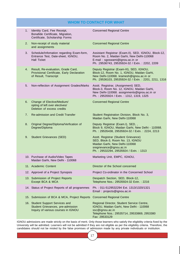#### **WHOM TO CONTACT FOR WHAT**

| 1. | Identity Card, Fee Receipt,<br>Bonafide Certificate, Migration,<br>Certificate, Scholarship Forms            | <b>Concerned Regional Centre</b>                                                                                                                                                             |
|----|--------------------------------------------------------------------------------------------------------------|----------------------------------------------------------------------------------------------------------------------------------------------------------------------------------------------|
| 2. | Non-receipt of study material<br>and assignments                                                             | <b>Concerned Regional Centre</b>                                                                                                                                                             |
| 3. | Schedule/Infomation regarding Exam-form,<br>Entrance Test, Date-sheet, IGNOU,<br><b>Hall Ticket</b>          | Assistant Registrar (Exam.II), SED, IGNOU, Block-12,<br>Room No. 2, Maidan Garhi, New Delhi-110068<br>E-mail: sgoswami@ignou.ac.in or<br>Ph. : 29536743, 29535924-32 / Extn. : 2202, 2209    |
| 4. | Result, Re-evaluation, Grade Card,<br>Provisional Certificate, Early Declaration<br>of Result, Transcript    | Deputy Registrar (Exam-III), SED, IGNOU,<br>Block-12, Room No. 1, IGNOU, Maidan Garhi,<br>New Delhi-110068. kramesh@ignou.ac.in or<br>Ph. : 29536103, 29535924-32 / Extn. : 2201, 2211, 1316 |
| 5. | Non-reflection of Assignment Grades/Marks                                                                    | Asstt. Registrar, (Assignment) SED,<br>Block-3, Room No. 12, IGNOU, Maidan Garhi,<br>New Delhi-110068. assignments@ignou.ac.in or<br>Ph.: 29535924 / Extn.: 1312, 1319, 1325                 |
| 6. | Change of Elective/Medium/<br>opting of left over electives/<br>Deletion of excess credits                   | <b>Concerned Regional Centre</b>                                                                                                                                                             |
| 7. | <b>Re-admission and Credit Transfer</b>                                                                      | Student Registration Division, Block No. 3,<br>Maidan Garhi, New Delhi-110068                                                                                                                |
| 8. | Original Degree/Diploma/Verfication of<br>Degree/Diploma                                                     | Deputy Registrar (Exam.I), SED,,<br>Block 9, IGNOU, Maidan Garhi, New Delhi - 110068.<br>Ph.: 29535438, 29535924-32 / Extn.: 2224, 2213                                                      |
| 9. | <b>Student Grievances (SED)</b>                                                                              | Asstt. Registrar (Student Grievance)<br>SED, Block-3, Room No. 13, IGNOU<br>Maidan Garhi, New Delhi-110068<br>sregrievance@ignou.ac.in<br>Ph.: 29532294, 29535924 / Extn.: 1313              |
|    | 10. Purchase of Audio/Video Tapes<br>Maidan Garhi, New Delhi - 110068                                        | Marketing Unit, EMPC, IGNOU,                                                                                                                                                                 |
|    | 11. Academic Content                                                                                         | Director of the School concerned                                                                                                                                                             |
|    | 12. Approvel of a Project Synopsis                                                                           | Project Co-ordinator in the Concerned School                                                                                                                                                 |
|    | 13. Submission of Project Reports<br>Except BCA & MCA                                                        | Despatch Section, SED, Block-12,<br>Telephone Nos.: 29535924-32 Extn.: 2216                                                                                                                  |
|    | 14. Status of Project Reports of all programmes                                                              | Ph.: 011-5129532294 Ext. 1313/1320/1321<br>Email: projects@ignou.ac.in                                                                                                                       |
|    | 15. Submission of BCA & MCA, Project Reports                                                                 | <b>Concerned Regional Centre</b>                                                                                                                                                             |
|    | 16. Student Support Services and<br>Student Grievances, pre-admission<br>Inquiry of various courses in IGNOU | Regional Director, Student Service Centre,<br>IGNOU, Maidan Garhi, New Delhi - 110068<br>ssc@ignou.ac.in<br>Telephone Nos.: 29535714, 29533869, 2953380<br>Fax: 29533129                     |

IGNOU admissions are made strictly on the basis of merit. Only those learners who satisfy the eligibility criteria fixed by the University will be admitted. Learners will not be admitted if they are not eligible as per the eligibility criteria. Therefore, the candidates should not be misled by the false promises of admission made by any private individuals or institution.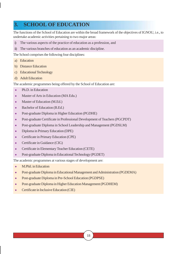# **3. SCHOOL OF EDUCATION**

The functions of the School of Education are within the broad framework of the objectives of IGNOU, i.e., to undertake academic activities pertaining to two major areas:

- i) The various aspects of the practice of education as a profession, and
- ii) The various branches of education as an academic discipline.

The School comprises the following four disciplines:

- a) Education
- b) Distance Education
- c) Educational Technology
- d) Adult Education

The academic programmes being offered by the School of Education are:

- $\bullet$  Ph.D. in Education
- Master of Arts in Education (MA Edu.)
- Master of Education (M.Ed.)
- Bachelor of Education (B.Ed.)
- Post-graduate Diploma in Higher Education (PGDHE)
- Post-graduate Certificate in Professional Development of Teachers (PGCPDT)
- Post-graduate Diploma in School Leadership and Management (PGDSLM)
- Diploma in Primary Education (DPE)
- <sup>z</sup> Certificate in Primary Education (CPE)
- Certificate in Guidance (CIG)
- Certificate in Elementary Teacher Education (CETE)
- Post-graduate Diploma in Educational Technology (PGDET)

The academic programmes at various stages of development are:

- M.Phil. in Education
- Post-graduate Diploma in Educational Management and Administration (PGDEMA)
- Post-graduate Diploma in Pre-School Education (PGDPSE)
- Post-graduate Diploma in Higher Education Management (PGDHEM)
- Certificate in Inclusive Education (CIE)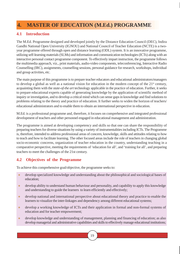# **4. MASTER OF EDUCATION (M.Ed.) PROGRAMME**

#### **4.1 Introduction**

The M.Ed. Programme designed and developed jointly by the Distance Education Council (DEC), Indira Gandhi National Open University (IGNOU) and National Council of Teacher Education (NCTE) is a twoyear programme offered through open and distance learning (ODL) system. It is an innovative programme, utilizing self-learning materials (SLMs) and information and communication technologies (ICTs) along with an interactive personal contact programme component. To effectively impart instruction, the programme follows the multimedia approach, viz., print materials, audio-video components, teleconferencing, Interactive Radio Counselling (IRC), assignments, counselling sessions, personal guidance for research, workshops, individual and group activities, etc.

The main purpose of this programme is to prepare teacher educators and educational administrators/managers to develop a global as well as a national vision for education in the modern concept of the 21st century, acquainting them with the *state-of-the art* technology applicable in the practice of education. Further, it seeks to prepare educational experts capable of generating knowledge by the application of scientific method of inquiry or investigation, and to develop a critical mind which can sense gaps in knowledge and find solutions to problems relating to the theory and practice of education. It further seeks to widen the horizon of teachers/ educational administrators and to enable them to obtain an international perspective in education.

M.Ed. is a professional programme and, therefore, it focuses on comprehensive and integrated professional development of teachers and other personnel engaged in educational management and administration.

The programme is aimed at developing competency and skills so that one can share the responsibility of preparing teachers for diverse situations by using a variety of instrumentalities including ICTs. The Programme is, therefore, intended to address professional areas of concern, knowledge, skills and attitudes relating to how to teach and how to facilitate learning. The other focused areas include the role of teachers in changing global socio-economic concerns, organization of teacher education in the country, understanding teaching in a comparative perspective, meeting the requirements of 'education for all', and 'training for all', and preparing teachers to meet the challenges of the 21st century.

#### **4.2 Objectives of the Programme**

To achieve this comprehensive goal/objective, the programme seeks to:

- develop specialized knowledge and understanding about the philosophical and sociological bases of education;
- $\bullet$  develop ability to understand human behaviour and personality, and capability to apply this knowledge and understanding to guide the learners to learn efficiently and effectively;
- **•** develop national and international perspective about educational theory and practice to enable the learners to visualize the inter-linkages and dependency among different educational systems;
- develop a working knowledge of ICTs and their application in formal and non-formal systems of education and for teacher empowerment;
- develop knowledge and understanding of management, planning and financing of education; as also develop managerial and administrative capabilities and skills to effectively manage educational institutions;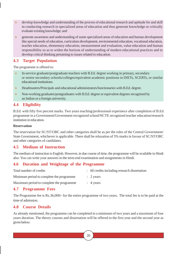- develop knowledge and understanding of the process of educational research and aptitude for and skill in conducting research in specialized areas of education and thus generate knowledge or critically evaluate existing knowledge; and
- z generate awareness and understanding of some specialized areas of education and human development like special needs of education, curriculum development, environmental education, vocational education, teacher education, elementary education, measurement and evaluation, value education and human responsibility so as to widen the horizon of understanding of modern educational practices and to develop critical thinking pertaining to issues related to education.

#### **4.3 Target Population**

The programme is offered to:

- In-service graduate/postgraduate teachers with B.Ed. degree working in primary, secondary or senior secondary schools/colleges/equivalent academic positions in DIETs, SCERTs, or similar educational institutions.
- $\bullet$  Headmasters/Principals and educational administrators/functionaries with B.Ed. degree.
- Non-working graduates/postgraduates with B.Ed. degree or equivalent degrees recognised by an Indian or a foreign university.

#### **4.4 Eligibility**

B.Ed. with fifty five percent marks. Two years teaching/professional experinece after completion of B.Ed programme in a Government/Government recognized school/NCTE recognized teacher education/research institution in education.

#### **Reservation**

The reservation for SC/ST/OBC and other categories shall be as per the rules of the Central Government/ State Government, whichever is applicable. There shall be relaxation of 5% marks in favour of SC/ST/OBC and other categories of candidates.

#### **4.5 Medium of Instruction**

The medium of instruction is English. However, in due course of time, the programme will be available in Hindi also. You can write your answers in the term-end examination and assignments in Hindi.

#### **4.6 Duration and Weightage of the Programme**

| Total number of credits                  | : 60 credits including research dissertation |
|------------------------------------------|----------------------------------------------|
| Minimum period to complete the programme | $\therefore$ 2 years                         |
| Maximum period to complete the programme | $\therefore$ 4 years                         |

#### **4.7 Programme Fees**

The Programme fee is Rs.36,000/- for the entire programme of two years**.** The total fee is to be paid at the time of admission.

#### **4.8 Course Details**

As already mentioned, the programme can be completed in a minimum of two years and a maximum of four years duration. The theory courses and dissertation will be offered in the first year and the second year as given below: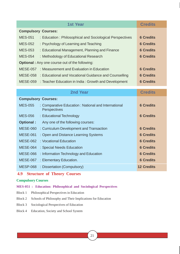| <b>1st Year</b>                                                             | <b>Credits</b>   |
|-----------------------------------------------------------------------------|------------------|
| <b>Compulsory Courses:</b>                                                  |                  |
| <b>MES-051</b><br>: Education : Philosophical and Sociological Perspectives | <b>6 Credits</b> |
| <b>MES-052</b><br>: Psychology of Learning and Teaching                     | <b>6 Credits</b> |
| <b>MES-053</b><br>: Educational Management, Planning and Finance            | <b>6 Credits</b> |
| <b>MES-054</b><br>: Methodology of Educational Research                     | <b>6 Credits</b> |
| <b>Optional:</b> Any one course out of the following:                       |                  |
| : Measurement and Evaluation in Education<br><b>MESE-057</b>                | <b>6 Credits</b> |
| MESE-058 : Educational and Vocational Guidance and Counselling              | <b>6 Credits</b> |
| MESE-059 : Teacher Education in India: Growth and Development               | <b>6 Credits</b> |
|                                                                             |                  |

| 2nd Year                                                                                      | <b>Credits</b>    |
|-----------------------------------------------------------------------------------------------|-------------------|
| <b>Compulsory Courses:</b>                                                                    |                   |
| <b>MES-055</b><br>: Comparative Education : National and International<br><b>Perspectives</b> | <b>6 Credits</b>  |
| <b>MES-056</b><br>: Educational Technology                                                    | <b>6 Credits</b>  |
| Optional :<br>Any one of the following courses:                                               |                   |
| <b>MESE-060</b><br>: Curriculum Development and Transaction                                   | <b>6 Credits</b>  |
| <b>MESE-061</b><br>: Open and Distance Learning Systems                                       | <b>6 Credits</b>  |
| MESE-062<br>: Vocational Education                                                            | <b>6 Credits</b>  |
| MESE-064<br>: Special Needs Education                                                         | <b>6 Credits</b>  |
| : Information Technology and Education<br>MESE-066                                            | <b>6 Credits</b>  |
| : Elementary Education.<br>MESE-067                                                           | <b>6 Credits</b>  |
| : Dissertation (Compulsory)<br><b>MESP-068</b>                                                | <b>12 Credits</b> |

#### **4.9 Structure of Theory Courses**

#### **Compulsory Courses**

#### **MES-051 : Education: Philosophical and Sociological Perspectives**

- Block 1 Philosophical Perspectives in Education
- Block 2 Schools of Philosophy and Their Implications for Education
- Block 3 Sociological Perspectives of Education
- Block 4 Education, Society and School System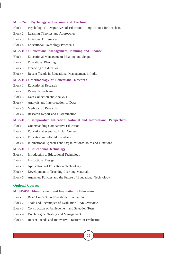#### **MES-052 : Psychology of Learning and Teaching**

- Block 1 Psychological Perspectives of Education Implications for Teachers
- Block 2 Learning Theories and Approaches
- Block 3 Individual Differences
- Block 4 Educational Psychology Practicals

#### **MES-053 : Educational Management, Planning and Finance**

- Block 1 Educational Management: Meaning and Scope
- Block 2 Educational Planning
- Block 3 Financing of Education
- Block 4 Recent Trends in Educational Management in India

#### **MES-054 : Methodology of Educational Research**

- Block 1 Educational Research
- Block 2 Research Problem
- Block 3 Data Collection and Analysis
- Block 4 Analysis and Interpretation of Data
- Block 5 Methods of Research
- Block 6 Research Report and Dissemination

#### **MES-055 : Comparative Education: National and International Perspectives**

- Block 1 Understanding Comparative Education
- Block 2 Educational Scenario: Indian Context
- Block 3 Education in Selected Countries
- Block 4 International Agencies and Organizations: Roles and Functions

#### **MES-056 : Educational Technology**

- Block 1 Introduction to Educational Technology
- Block 2 Instructional Design
- Block 3 Applications of Educational Technology
- Block 4 Development of Teaching-Learning Materials
- Block 5 Agencies, Policies and the Future of Educational Technology

#### **Optional Courses**

#### **MESE-057: Measurement and Evaluation in Education**

- Block 1 Basic Concepts in Educational Evaluation
- Block 2 Tools and Techniques of Evaluation An Overview
- Block 3 Construction of Achievement and Selection Tests
- Block 4 Psychological Testing and Management
- Block 5 Recent Trends and Innovative Practices in Evaluation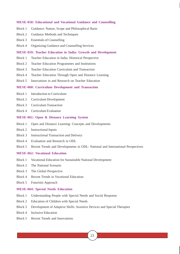#### **MESE-058: Educational and Vocational Guidance and Counselling**

- Block 1 Guidance: Nature, Scope and Philosophical Basis
- Block 2 Guidance Methods and Techniques
- Block 3 Essentials of Counselling
- Block 4 Organizing Guidance and Counselling Services

#### **MESE-059: Teacher Education in India: Growth and Development**

- Block 1 Teacher Education in India: Historical Perspective
- Block 2 Teacher Education Programmes and Institutions
- Block 3 Teacher Education Curriculum and Transaction
- Block 4 Teacher Education Through Open and Distance Learning
- Block 5 Innovations in and Research on Teacher Education

#### **MESE-060: Curriculum Development and Transaction**

- Block 1 Introduction to Curriculum
- Block 2 Curriculum Development
- Block 3 Curriculum Transaction
- Block 4 Curriculum Evaluation

#### **MESE-061: Open & Distance Learning System**

- Block 1 Open and Distance Learning: Concepts and Developments
- Block 2 Instructional Inputs
- Block 3 Instructional Transaction and Delivery
- Block 4 Evaluation and Research in ODL
- Block 5 Recent Trends and Developments in ODL: National and International Perspectives

#### **MESE-062: Vocational Education**

- Block 1 Vocational Education for Sustainable National Development
- Block 2 The National Scenario
- Block 3 The Global Perspective
- Block 4 Recent Trends in Vocational Education
- Block 5 Futuristic Approach

#### **MESE-064: Special Needs Education**

- Block 1 Understanding People with Special Needs and Social Response
- Block 2 Education of Children with Special Needs
- Block 3 Development of Adaptive Skills: Assistive Devices and Special Therapies
- Block 4 Inclusive Education
- Block 5 Recent Trends and Innovations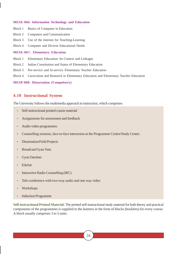#### **MESE-066: Information Technology and Education**

- Block 1 Basics of Computer in Education
- Block 2 Computers and Communication
- Block 3 Use of the Internet for Teaching-Learning
- Block 4 Computer and Diverse Educational Needs

#### **MESE-067: Elementary Education**

- Block 1 Elementary Education: Its Context and Linkages
- Block 2 Indian Constitution and Status of Elementary Education
- Block 3 Pre-service and In-service Elementary Teacher Education
- Block 4 Curriculum and Research in Elementary Education and Elementary Teacher Education

**MESP-068: Dissertation (Compulsory)**

#### **4.10 Instructional System**

The University follows the multimedia approach in instruction, which comprises:

- Self-instructional printed course material
- Assignments for assessment and feedback
- Audio-video programmes
- Counselling sessions, face-to-face interaction at the Programme Centre/Study Centre.
- Dissertation/Field Projects
- Broadcast/Gyan Vani
- Gyan Darshan
- EduSat
- Interactive Radio Counselling (IRC)
- Tele-conference with two-way audio and one way video
- Workshops
- Induction Programme

**Self-instructional Printed Material:** The printed self-instructional study material for both theory and practical components of the programmes is supplied to the learners in the form of blocks (booklets) for every course. A block usually comprises 3 to 5 units.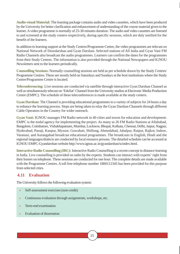**Audio-visual Material:** The learning package contains audio and video cassettes, which have been produced by the University for better clarification and enhancement of understanding of the course material given to the learner. A video programme is normally of 25-30 minutes duration. The audio and video cassettes are listened to and screened at the study centers respectively, during specific sessions, which are duly notified for the benefit of the learners.

In addition to learning support at the Study Centres/Programme Centre, the video programmes are telecast on National Network of Doordarshan and Gyan Darshan. Selected stations of All India and Gyan Vani FM Radio Channels also broadcast the audio programmes. Learners can confirm the dates for the programmes from their Study Centres. The information is also provided through the National Newspapers and IGNOU Newsletters sent to the learners periodically.

**Counselling Sessions:** Normally counselling sessions are held as per schedule drawn by the Study Centres/ Programme Centres. These are mostly held on Saturdays and Sundays at the host institutions where the Study Centre/Programme Centre is located.

**Teleconferencing:** Live sessions are conducted via satellite through interactive Gyan Darshan Channel as well as simultaneously telecast on 'EduSat' Channel from the University studios at Electronic Media Production Centre (EMPC). The schedule of these teleconferences is made available at the study centers.

**Gyan Darshan:** The Channel is providing educational programmes to a variety of subjects for 24 hours a day to enhance the learning process. Steps are being taken to relay the Gyan Darshan Channels through different Cable Operators in the Country for wider outreach.

**Gyan Vani:** IGNOU manages FM Radio network in 40 cities and towns for education and development. EMPC is the nodal agency for implementing the project. As many as 26 FM Radio Stations at Allahabad, Bangalore, Coimbatore, Vishakhapatnam, Mumbai, Lucknow, Bhopal, Kolkata, Chennai, Delhi, Jaipur, Nagpur, Hyderabad, Panaji, Kanpur, Mysore, Guwahati, Shillong, Ahmedabad, Jabalpur, Raipur, Rajkot, Indore, Varanasi, and Aurangabad broadcast educational programmes. The broadcasts in English, Hindi and the regional languages/dialects are conducted by local resource persons. The detailed schedule can be accessed at IGNOU EMPC-Gyandarshan website http://www.ignou.ac.in/gyandarshan/scindex.html.

**Interactive Radio Counselling (IRC):** Interactive Radio Counselling is a recent concept in distance learning in India. Live counselling is provided on radio by the experts. Students can interact with experts' right from their homes on telephone. These sessions are conducted for one hour. The complete details are made available with the Programme Centres. A toll free telephone number 1800112345 has been provided for this purpose from selected cities.

#### **4.11 Evaluation**

The University follows the following evaluation system:

- <sup>z</sup> Self-assessment exercises (non-credit)
- Continuous evaluation through assignments, workshops, etc.
- $\bullet$  Term-end examination
- Evaluation of dissertation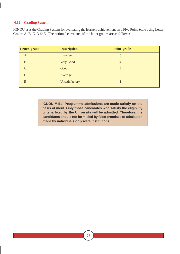#### **4.12 Grading System**

IGNOU uses the Grading System for evaluating the learners achievement on a Five Point Scale using Letter Grades A, B, C, D & E. The notional correlates of the letter grades are as follows:

| Letter grade | <b>Description</b> | Point grade    |
|--------------|--------------------|----------------|
| $\mathbf{A}$ | Excellent          | 5              |
| B            | Very Good          | $\overline{4}$ |
| $\mathsf{C}$ | Good               | 3              |
| D            | Average            | $\overline{2}$ |
| E            | Unsatisfactory     |                |
|              |                    |                |

**IGNOU M.Ed. Programme admissions are made strictly on the basis of merit. Only those candidates who satisfy the eligibility criteria fixed by the University will be admitted. Therefore, the candidates should not be misled by false promises of admission made by individuals or private institutions.**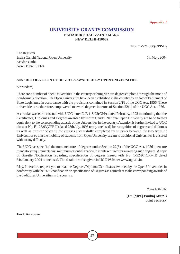*Appendix I*

#### **UNIVERSITY GRANTS COMMISSION BAHADUR SHAH ZAFAR MARG NEW DELHI-110002**

No.F.1-52/2000(CPP-II)

The Registrar Indira Gandhi National Open University 5th May, 2004 Maidan Garhi New Delhi-110068

#### **Sub.: RECOGNITION OF DEGREES AWARDED BY OPEN UNIVERSITIES**

Sir/Madam,

There are a number of open Universities in the country offering various degrees/diploma through the mode of non-formal education. The Open Universities have been established in the country by an Act of Parliament of State Legislature in accordance with the provisions contained in Section 2(F) of the UGC Act, 1956. These universities are, therefore, empowered to award degrees in terms of Section 22(1) of the UGC Act, 1956.

A circular was earlier issued vide UGC letter N.F. 1-8/92(CPP) dated February, 1992 mentioning that the Certificates, Diplomas and Degrees awarded by Indira Gandhi National Open University are to be treated equivalent to the corresponding awards of the Universities in the country. Attention is further invited to UGC circular No. F1-25/93(CPP-II) dated 28thJuly, 1993 (copy enclosed) for recognition of degrees and diplomas as well as transfer of credit for courses successfully completed by students between the two types of Universities so that the mobility of students from Open University stream to traditional Universities is ensured without any difficulty.

The UGC has specified the nomenclature of degrees under Section 22(3) of the UGC Act, 1956 to ensure mandatory requirements viz. minimum essential academic inputs required for awarding such degrees. A copy of Gazette Notification regarding specification of degrees issued vide No. 1-52/97(CPP-II) dated 31stJanuary 2004 is enclosed. The details are also given in UGC Website: www.ugc.ac.in

May, I therefore request you to treat the Degrees/Diploma/Certificates awarded by the Open Universities in conformity with the UGC notification on specification of Degrees as equivalent to the corresponding awards of the traditional Universities in the country.

Yours faithfully

**(Dr. [Mrs.] Pankaj Mittal)** Joint Secretary

**Encl: As above**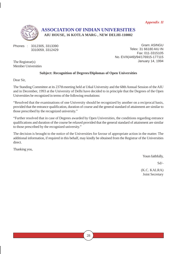*Appendix II*



#### **ASSOCIATION OF INDIAN UNIVERSITIES AIU HOUSE, 16 KOTLA MARG , NEW DELHI-110002**

Phones : 3312305, 3313390 3310059, 3312429

Gram: ASINGU Telex: 31 66180 AIU IN Fax: 011-3315105 No. EV/II(449)/94/176915-177115 January 14, 1994

The Registrar(s) Member Universities

#### **Subject: Recognition of Degrees/Diplomas of Open Universities**

Dear Sir,

The Standing Committee at its 237th meeting held at Utkal University and the 68th Annual Session of the AIU and in December, 1993 at the University of Delhi have decided to in principle that the Degrees of the Open Universities be recognized in terms of the following resolutions:

"Resolved that the examinations of one University should be recognized by another on a reciprocal basis, provided that the entrance qualification, duration of course and the general standard of attainment are similar to those prescribed by the recognized university."

"Further resolved that in case of Degrees awarded by Open Universities, the conditions regarding entrance qualifications and duration of the course be relaxed provided that the general standard of attainment are similar to those prescribed by the recognized university."

The decision is brought to the notice of the Universities for favour of appropriate action in the matter. The additional information, if required in this behalf, may kindly be obtained from the Registrar of the Universities direct.

Thanking you,

Yours faithfully,

Sd/-

(K.C. KALRA) Joint Secretary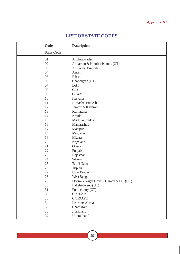# **LIST OF STATE CODES**

| Code              | <b>Description</b>                                                    |
|-------------------|-----------------------------------------------------------------------|
| <b>State Code</b> |                                                                       |
| 01.<br>02.<br>03. | Andhra Pradesh<br>Andaman & Nikobar Islands (UT)<br>Arunachal Pradesh |
| 04.               | Assam                                                                 |
| 05.               | <b>Bihar</b>                                                          |
| 06.               | Chandigarh (UT)                                                       |
| 07.               | Delhi                                                                 |
| 08.               | Goa                                                                   |
| 09.               | Gujarat                                                               |
| 10.               | Haryana                                                               |
| 11.               | Himachal Pradesh                                                      |
| 12.               | Jammu & Kashmir                                                       |
| 13.               | Karnataka                                                             |
| 14.               | Kerala                                                                |
| 15.               | Madhya Pradesh                                                        |
| 16.               | Maharashtra                                                           |
| 17.               | Manipur                                                               |
| 18.               | Meghalaya                                                             |
| 19.               | Mizoram                                                               |
| 20.               | Nagaland                                                              |
| 21.               | Orissa                                                                |
| 22.               | Punjab                                                                |
| 23.               | Rajasthan                                                             |
| 24.               | <b>Sikkim</b>                                                         |
| 25.               | <b>Tamil Nadu</b>                                                     |
| 26.               | Tripura                                                               |
| 27.               | <b>Uttar Pradesh</b>                                                  |
| 28.               | West Bengal                                                           |
| 29.               | Dadra & Nagar Haveli, Daman & Diu (UT)                                |
| 30.               | Lakshadweep (UT)                                                      |
| 31.               | Pondicherry (UT)                                                      |
| 32.               | C/O56APO                                                              |
| 33.               | $C/099$ APO                                                           |
| 34.               | Learners Abroad                                                       |
| 35.               | Chattisgarh                                                           |
| 36.               | Jharkhand                                                             |
| 37.               | Uttarakhand                                                           |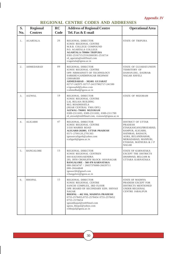#### *Appendix IV*

### **REGIONAL CENTRE CODES AND ADDRESSES**

| S.  | <b>Regional</b>  | RC   | <b>Address of Regional Centre</b>                                                                                                                                                                                                                                                                                    | <b>Operational Area</b>                                                                                                                                                                        |
|-----|------------------|------|----------------------------------------------------------------------------------------------------------------------------------------------------------------------------------------------------------------------------------------------------------------------------------------------------------------------|------------------------------------------------------------------------------------------------------------------------------------------------------------------------------------------------|
| No. | <b>Centres</b>   | Code | Tel. Fax & E-mail                                                                                                                                                                                                                                                                                                    |                                                                                                                                                                                                |
| 1.  | <b>AGARTALA</b>  | 26   | <b>REGIONAL DIRECTOR</b><br>IGNOU REGIONAL CENTRE<br>M.B.B. COLLEGE COMPOUND<br>P.O. AGARTALA COLLEGE<br><b>AGARTALA-799004 TRIPURA</b><br>0381-2516715/25162660381-2516714<br>rd_agartala@rediffmail.com<br>rcagartala@ignou.ac.in                                                                                  | STATE OF TRIPURA                                                                                                                                                                               |
| 2.  | <b>AHMEDABAD</b> | 09   | REGIONAL DIRECTOR<br>IGNOU REGIONAL CENTRE<br>OPP. NIRMAINSTT OF TECHNOLOGY<br>SARKHEJ-GANDHINAGAR HIGHWAY<br><b>CHHARODI</b><br>AHMEDABAD - 382481 GUJARAT<br>02717-242975 02717-24157902717-241580<br>rcignouahd@yahoo.com<br>rcahmedbad@ignou.ac.in                                                               | STATE OF GUJARAT.UNION<br><b>TERRITORY OF</b><br>DAMAN.DIU, DADRA&<br><b>NAGAR HAVELI</b>                                                                                                      |
| 3.  | <b>AIZWAL</b>    | 19   | REGIONAL DIRECTOR<br>IGNOU REGIONAL CENTRE<br>LAL BULAIA BUILDING<br>M.G. ROADKHATLA<br>(NEAR CENTRAL YMA OFF.)<br>AIZWAL-796001 MIZORAM<br>0389-2311693, 0389-2311692, 0389-2311789<br>rd_aizwal@rediffmail.com, rcaizawl@ignou.ac.in                                                                               | STATE OF MIZORAM                                                                                                                                                                               |
| 4.  | <b>ALIGARH</b>   | 47   | REGIONAL DIRECTOR<br>IGNOU REGIONAL CENTRE<br>3/310 MARRIS ROAD<br>ALIGARH-202001, UTTAR PRADESH<br>0571-2700120,2701365<br>ignousrcaligarh@yahoo.com<br>rcaligarh@ignou.ac.in                                                                                                                                       | DISTRICT OF UTTAR<br><b>PRADESH</b><br>ETAH, KASGANJ, FIROZABAD,<br>RAMPUR, ALIGARH,<br>HATHRAS, BADAUN,<br>AGRA, BULANDSAHAR,<br>MORADABAD, MANPURI,<br>ETAWAH, MATHURA & J P<br><b>NAGAR</b> |
| 5.  | <b>BANGALORE</b> | 13   | REGIONAL DIRECTOR<br>IGNOU REGIONAL CENTREN<br>SSS KALYANA KENDRA<br>293, 39TH CROSS, 8TH BLOCK JAYANAGAR<br><b>BANGALORE - 560 070 KARNATAKA</b><br>080-26654747 / 26657376080-26639711<br>080-26644848<br>ignourcblr@gmail.com<br>rcbangalore@ignou.ac.in                                                          | STATE OF KARNATAKA<br><b>EXCEPT THE DISTRICTS</b><br>DHARWAD, BELGAM &<br>UTTARA KARNATAKA                                                                                                     |
| 6.  | <b>BHOPAL</b>    | 15   | REGIONAL DIRECTOR<br>IGNOU REGIONAL CENTRE<br>SANCHI COMPLEX, 3RD FLOOR<br>OPP. BOARD OF SECONDARY EDN. SHIVAJI<br><b>NAGAR</b><br><b>BHOPAL - 462 016, MADHYA PRADESH</b><br>0755-2578455,0755-2578454 0755-2578452<br>0755-2578454<br>ignoubhopal@rediffmail.com<br>ignou_bhopal@yahoo.com<br>rcbhopal@ignou.ac.in | STATE OF MADHYA<br>PRADESH EXCEPT FOR<br>DISTRICTS MENTIONED<br>UNDER REGIONAL<br><b>CENTRE JABALPUR</b>                                                                                       |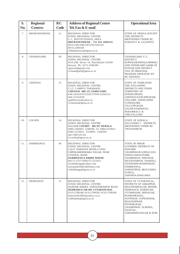| S.<br>No. | <b>Regional</b><br><b>Centres</b> | <b>RC</b><br>Code | <b>Address of Regional Centre</b><br>Tel. Fax & E-mail                                                                                                                                                                                                                  | <b>Operational Area</b>                                                                                                                                                                                                                                             |
|-----------|-----------------------------------|-------------------|-------------------------------------------------------------------------------------------------------------------------------------------------------------------------------------------------------------------------------------------------------------------------|---------------------------------------------------------------------------------------------------------------------------------------------------------------------------------------------------------------------------------------------------------------------|
| 7.        | <b>BHUBANESHWAR</b>               | 21                | REGIONAL DIRECTOR<br>IGNOU REGIONAL CENTRE<br>C-1, INSTITUTIONAL AREA<br><b>BHUBANESHWAR - 751 013 ORISSA</b><br>0674-2301348/2301250/2301352<br>0674-2300349<br>rcbhubaneswar@ignou.ac.in                                                                              | STATE OF ORISSA (EXCEPT<br>THE DISTRICTS<br>MENTIONED UNDER RC<br>KORAPUT & GAJAPATI)                                                                                                                                                                               |
| 8.        | <b>CHANDIGARH</b>                 | 06                | REGIONAL DIRECTOR<br><b>IGNOU REGIONAL CENTRE</b><br>SCO-208, Sector 14, Panchkulan-134109<br>Haryna. Ph. 0172-2590208<br>ignouch@gmail.com<br>rcchandigarh@ignou.ac.in                                                                                                 | CHANDIGARH U.T.,<br><b>DISTRICT</b><br>RUPNAGAR.PATIALA.MOHALI<br>AND FATEHGARH SAHIB OF<br>PUNJAB AND DISTRICT<br>UNA OF HIMACHAL<br>PRADESH OPERATED BY<br>RC KHANNA                                                                                              |
| 9.        | <b>CHENNAI</b>                    | 25                | REGIONAL DIRECTOR<br>IGNOU REGIONAL CENTRE<br>C.I.T. CAMPUS TARAMANI<br><b>CHENNAI -600 113 TAMILNADU</b><br>044-22541919/22542727044-22542121<br>044-22542828<br>rgnldirector@yahoo.in<br>rcchennai@ignou.ac.in                                                        | STATE OF TAMILNADU<br>THE FOLLOWING<br>DISTRICTS AND UNION<br><b>TERRITORY OF</b><br>PONDICHEERY,<br>CHENNALKANCHIPURAM,<br>VELLORE, CHENGAIPAT,<br>CUDDALORE,<br>VILLUPPURAM.<br>SALEM.NAMAKKAL,<br>PERAMBALU &<br>TIRUVALLORE                                     |
| 10.       | <b>COCHIN</b>                     | 14                | REGIONAL DIRECTOR<br>IGNOU REGIONAL CENTRE<br>KALOOR COCHIN - 682 017 KERALA<br>0484-2340203, 2348189, 23, 0484-2533021<br>0484-2533021, 2330891, 2340204<br>igrc14@vsnl.net<br>rccochin@ignou.ac.in                                                                    | STATE OF KERALA<br><b>EXCLUDING I DISTRICTS</b><br>MENTIONED UNDER RC<br>TRIVANDRUM                                                                                                                                                                                 |
| 11.       | DARBHANGA                         | 46                | REGIONAL DIRECTOR<br><b>IGNOU REGIONAL CENTRE</b><br>LALIT NARAYAN MITHLA UNIV.<br>CMPSKAMESHWARA NAGAR. NEAR<br>CENTRAL BANK<br>DARBHANGA-846004 BIHAR<br>06272-25371906272-251833<br>srcdarbhanga@yahoo.com<br>antripathi29@rediffmail.com<br>rcdarbhanga@ignou.ac.in | <b>STATE OF BIHAR</b><br>COVERING DISTRICTS OF<br><b>PASCHIM</b><br>CHAMPARAN.GOPALGANJ,<br>SIWAN.SARAN.PURBI<br>CHAMPARAN, SHEOHAR,<br>MUZAFFARPUR, VAISHALI,<br>SITAMARHI.MADHUBANI,<br>DARBHANGA,<br>SAMASTIPUR, BEGUSARAI,<br>SUPAUL,<br>SAHARSA.KHAGARIA       |
| 12.       | <b>DEHRADUN</b>                   | 31                | REGIONAL DIRECTOR<br>IGNOU REGIONAL CENTRE<br>NANOOR KHERA, TAPOVANRAIPUR ROAD<br>DEHRADUN-248 001 UTTARANCHAL<br>0135-2789180 0135-2789205 0135-2789190<br>dimrianilk2002@yahoo.co.in<br>rcdehradun@ignou.ac.in                                                        | STATE OF UTTARANCAL,<br>DISTRICTS OF SARANPUR,<br>MUZAFFARNAGAR, BIJNOR,<br>DEHRADUN, HARIDUAR,<br>UTTARKASHI, SRINAGAR,<br>RUDRAPRAYAG,<br>KOTDWAR, GOPESHWAR,<br>BOAGESHWAR,<br>PITHORGRAH,<br>CHAMPAWAT, ALMORA,<br>NANITAL,<br><b>UDHAMSINGNAGAR &amp; PURI</b> |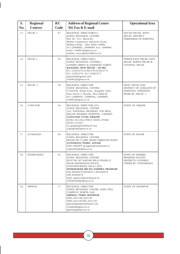| S.  | <b>Regional</b>    | RC   | <b>Address of Regional Centre</b>                                                                                                                                                                                                                                                     | <b>Operational Area</b>                                                              |
|-----|--------------------|------|---------------------------------------------------------------------------------------------------------------------------------------------------------------------------------------------------------------------------------------------------------------------------------------|--------------------------------------------------------------------------------------|
| No. | <b>Centres</b>     | Code | Tel. Fax & E-mail                                                                                                                                                                                                                                                                     |                                                                                      |
| 13. | DELHI 1            | 07   | REGIONAL DIRECTOR(1/C)<br>IGNOU REGIONAL CENTRE<br>Plot No. J/21, Block-B1,<br>Mohan Cooperative Industrial Estate,<br>Mathura Road, , New Delhi-110044<br>011-26990082, 26990083 Fax: 2690084<br>email: rcdelhi1@ignou.ac.in<br>website: www.ignourcdelhi1.ac.in                     | SOUTH DELHI, WEST<br>DELHI, DISTRICT<br>FARIDABAD OF HARYANA                         |
| 14. | DELHI <sub>2</sub> | 29   | REGIONAL DIRECTOR-2<br>IGNOU REGIONAL CENTRE-2<br>GANDHI SMRITI & DARSHAN SAMITI<br>RAJGHAT, NEW DELHI • 110 002<br>011-23392375/23392376/233923772<br>011-23392374, 011-23392373<br>ignourd2@ngmail.com<br>rcdelhi2@ignou.ac.in                                                      | NORTH-EAST DELHI, EAST<br>DELHI, NORTH DELHI &<br>CENTRAL DELHI                      |
| 15. | DELHI 3            | 38   | REGIONAL DIRECTOR<br><b>IGNOU REGIONAL CENTRE</b><br>F-634-636, Palam Extn., Ramphal Chok,<br>Near Sector-7, Dwarka, New Delhi-45<br>011-25088939, 25088944, 25088983<br>rcdelhi3@ignou.ac.in                                                                                         | WEST DELHI AND<br>DISTRICT OF GURGAON OF<br>HARYANA, OPERATED<br>FROM RC DELHI-1     |
| 16. | <b>GANGTOK</b>     | 24   | REGIONAL DIRECTOR (I/C)<br>IGNOU REGIONAL CENTRE<br>31A, NATIONAL HIGHWAY, 5TH MILE,<br>BELOW MANIPAL HOSPITAL, TADONG<br>GANGTOK-737102 SIKKIM<br>03592-2311102,270923 03592-270364<br>03592-212501<br>rd_gangtok@rediffmail.com<br>rcgangtok@ignou.ac.in                            | <b>STATE OF SIKKIM</b>                                                               |
| 17. | <b>GUWAHATI</b>    | 04   | REGIONAL DIRECTOR<br>IGNOU REGIONAL CENTRE<br>HOUSE NO 71.GMC ROAD CHRISTIAN BASTI<br>GUWAHATI-781003, ASSAM<br>0361-2662879 grcignou@sancharnet.in<br>rcguwahati@ignou.ac.in                                                                                                         | <b>STATE OF ASSAM</b>                                                                |
| 18. | HYDERABAD          | 01   | REGIONAL DIRECTOR<br>IGNOU REGIONAL CENTRE<br>PLOT NO 207 KAVURI HILLS PHASE II<br>NEAR MADHAPUR POLICE<br>STATIONJUBILEE HILLS (PO)<br>HYDERABAD-500 033 ANDHRA PRADESH<br>040-40266470,40266471,402266478<br>040-40266479<br>hyd2_ignourch@sancharnet.in<br>rchyderabad@ignou.ac.in | STATE OF ANDHRA<br>PRADESH EXCEPT<br><b>DISTRICTS COVERED</b><br>UNDER RC VIJAYAWADA |
| 19. | <b>IMPHAL</b>      | 17   | REGIONAL DIRECTOR<br>IGNOU REGIONAL CENTRE, ASHA JINA<br>COMPLEX NORTH, AOC<br><b>IMPHAL-795001 MANIPUR</b><br>0385-2421190,2421191<br>0385-2421192385-2421192<br>ignouimphal@rediffmail.com<br>rcimphal@ignou.ac.in<br>ignouimp@man.nic.in                                           | <b>STATE OF MANIPUR</b>                                                              |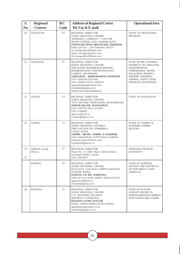| S.         | <b>Regional</b>         | RC   | <b>Address of Regional Centre</b>                                                                                                                                                                                                                                                                                | <b>Operational Area</b>                                                                                                                                                                   |
|------------|-------------------------|------|------------------------------------------------------------------------------------------------------------------------------------------------------------------------------------------------------------------------------------------------------------------------------------------------------------------|-------------------------------------------------------------------------------------------------------------------------------------------------------------------------------------------|
| No.        | <b>Centres</b>          | Code | Tel. Fax & E-mail                                                                                                                                                                                                                                                                                                |                                                                                                                                                                                           |
| 20.        | <b>ITANAGAR</b>         | 03   | REGIONAL DIRECTOR<br>IGNOU REGIONAL CENTRE<br>'HORNHILL COMPLEX" C SECTOR<br>(NEAR CENTRAL SCH.) NAHARLAGUN<br><b>ITANAGAR-791110 ARUNACHAL PRADESH</b><br>0360-2247536 / 22475380360-2247537<br>rd_itanagar@rediffmail.com<br>ignou_itanagar@yahoo.com<br>rd_itanagar@rediffmail.com                            | STATE OF ARUNACHAL<br><b>PRADESH</b>                                                                                                                                                      |
| 21.        | <b>JABALPUR</b>         | 41   | REGIONAL DIRECTOR<br>IGNOU REGIONAL CENTRE<br>2ND FLOOR, RAJSHEKHAR BHAVAN,<br>RANIDURGAVATI VISHVAVIDYALAYA<br>CAMPUS, PACHPEDHI,<br>JABALPUR - 482001MADHYA PRADESH<br>0761-2609269,6533569<br>0761-26004110761-2609919<br>ignoujabalpur@hotmail.com<br>rcjabalpur@ignou.ac.in<br>website:www.ignoujabalpur.in | STATE OF MP COVERING<br>DISTRICTS OF JABALPUR,<br>NARSIMHAPUR,<br>CHHINDWARA, SEONI,<br>BALAGHAT, MANDLA.<br>DINDORI, SHAHDOL,<br>UMARIA, KATNI. SIDHI,<br><b>SINGRAULI &amp; ANUPPUR</b> |
| 22.        | <b>JAIPUR</b>           | 23   | REGIONAL DIRECTOR<br>IGNOU REGIONAL CENTRE<br>70/79, SECTOR-7 PATELMARG, MANSAROVAR<br>JAIPUR-302 020 RAJASTHAN<br>0141-2785750 0141-2274292<br>0141-2784043<br>ignou-raj@.nic.in<br>rcjaipur@ignou.ac.in                                                                                                        | <b>STATE OF RAJASTHAN</b>                                                                                                                                                                 |
| 23.        | <b>JAMMU</b>            | 12   | REGIONAL DIRECTOR<br>IGNOU REGIONAL CENTRES<br>PMR COLLEGE OF COMMERCE<br>CANAL ROAD,<br>JAMMU -180 001, JAMMU & KASHMIR<br>0191-25465290191-25795720191-2546995<br>jammurc12@rediffmail.com<br>rcjammu@ignou.ac.in                                                                                              | STATE OF JAMMU &<br>KASHMIR (JAMMU<br>REGION)                                                                                                                                             |
| 24.<br>25. | JORHAT (Camp<br>Office) | 37   | REGIONAL DIRECTOR<br>House No. 71, GMC Road, Christian Basti<br>Guwahati-781003, Assam<br>0361-2662879                                                                                                                                                                                                           | OPERATED FROM RC<br><b>GUWAHATI</b>                                                                                                                                                       |
|            | <b>KARNAL</b>           | 10   | REGIONAL DIRECTOR<br>IGNOU REGIONAL CENTRE<br>OLD GOVT. COLLEGE CAMPUS RAILWAY<br>STATION ROAD,<br>KARNAL-132 001, HARYANA<br>0184-2271514 0184-2260075 0184-2255738<br>ignourck10@bsnl.in<br>rckamal@ignou.ac.in                                                                                                | STATE OF HARYANA<br>(EXCEPT THE DISTRICTS<br>OF PANCHKULA AND<br>AMBALA)                                                                                                                  |
| 26.        | <b>KHANNA</b>           | 22   | REGIONAL DIRECTOR<br><b>IGNOU REGIONAL CENTRE</b><br>I.T.I. BUILDING BULEPUR<br>(DISTRICT LUDHIANA)<br>KHANNA-141401 PUNJAB<br>01628-229994/229993/237361/238284<br>ignoukhanna@yahoo.co.in<br>rckhanna@ignou.ac.in                                                                                              | <b>STATE OF PUNJAB</b><br>(EXCEPT DISTRICTS<br>RUPNAGAR,PATIALA,MOHALI<br>AND FATEHGARH SAHIB)                                                                                            |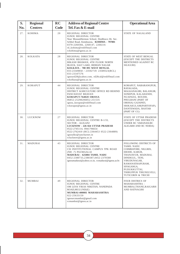| S.  | <b>Regional</b> | RC   | <b>Address of Regional Centre</b>                                                                                                                                                                                                                                                 | <b>Operational Area</b>                                                                                                                                                                                                                         |
|-----|-----------------|------|-----------------------------------------------------------------------------------------------------------------------------------------------------------------------------------------------------------------------------------------------------------------------------------|-------------------------------------------------------------------------------------------------------------------------------------------------------------------------------------------------------------------------------------------------|
| No. | <b>Centres</b>  | Code | Tel. Fax & E-mail                                                                                                                                                                                                                                                                 |                                                                                                                                                                                                                                                 |
| 27. | <b>KOHIMA</b>   | 20   | REGIONAL DIRECTOR<br>IGNOU REGIONAL CENTRE<br>Near MoountHermon School, DonBosco Hr. Sec.<br>Schhol Road, Kendouzou, KOHIMA - 797001<br>0370-2260366, 2260147, 2260216<br>rd_kohima@rediffmail.com<br>rckohima@ignou.ac.in                                                        | STATE OF NAGALAND                                                                                                                                                                                                                               |
| 28. | KOLKATA         | 28   | REGIONAL DIRECTOR<br>IGNOU REGIONAL CENTRE<br>BIKASH BHAWAN, 4TH FLOOR NORTH<br>BLOCK, SALT LAKE, BIDHAN NAGAR<br>KOLKATA - 700 091 WEST BENGAL<br>033-23349850 / 23592719/ 23589323(RCL)<br>033-23347576<br>ignourd28@yahoo.com, rd28cal@rediffmail.com<br>rckolkata@ignou.ac.in | STATE OF WEST BENGAL<br>(EXCEPT THE DISTRICTS<br>MENTIONED AGAINST RC<br>SILIGURI)                                                                                                                                                              |
| 29. | <b>KORAPUT</b>  | 44   | REGIONAL DIRECTOR<br>IGNOU REGIONAL CENTRE<br>DISTRICT AGRICULTURE OFFICE RD BEHIND<br>PANCHAYAT BHAVAN<br>KORAPUT-764020 ORISSA<br>06852-25298206852-251535<br>ignou_koraput@rediffmail.com<br>rckoraput@ignou.ac.in                                                             | KORAPUT, NABARANGPUR,<br>RAYAGADA,<br>MALKANAGIRI, BALANGIR,<br>SONEPUR, KALAHANDI,<br>NUAPADA, BOUDH,<br>PHULBANI (PART OF<br>ORISSA) GAJAPATI,<br>SRIKAKULAM(PARTOFAP),<br>DANTEWADA, BASTAR<br>(PART OF CG)                                  |
| 30. | <b>LUCKNOW</b>  | 27   | REGIONAL DIRECTOR<br>IGNOU REGIONAL CENTRE B-1/33,<br><b>SECTOR - ALIGANJ</b><br>LUCKNOW - 226 024 UTTAR PRADESH<br>0522-2745114, 0941796654<br>0522-2762410 (RCL/2364453 0522-2364889)<br>ignoulko@sancharnet.in<br>rclucknow@ignou.ac.in                                        | STATE OF UTTAR PRADESH<br>(EXCEPT THE DISTRICTS<br>UNDER RC VARANASI.RC<br>ALIGARH AND RC NOIDA)                                                                                                                                                |
| 31. | MADURAI         | 43   | REGIONAL DIRECTOR<br>IGNOU REGIONAL CENTRE<br>CSI INSTITUTIONAL CAMPUS TPK ROAD<br>(NH -7) PAUMAALAI<br>MADURAI - 625004 TAMIL NADU<br>0452-2380733,2380387,0452-2370588<br>ignoumadurai@yahoo.co.in, rcmadurai@ignou.acJn                                                        | FOLLOWING DISTRICTS OF<br><b>TAMIL NADU</b><br>COIMBATORE, NILGRIS,<br>ERODE, KARUR,<br>THANJAVUR. MADURAI.<br>DINDIGUL, TENI,<br>VIRUDUNAGAR,<br>RAMANATHAPURAM,<br>SIVAGANGA,<br>PUDUKKUTTAI,<br>THIRUPPUR TIRUNELVELI,<br>TUTICORIN & TRICHI |
| 32. | MUMBAI          | 49   | REGIONAL DIRECTOR<br>IGNOU REGIONAL CENTRE<br>OM LEVA VIKAS NIKETAN, NANEPADA<br>ROAD, MULUND(E)<br>MUMBAI-400081 MAHARASHTRA<br>022-25633159<br>ignourcmumbai@gmail.com<br>rcmumbai@ignou.ac.in                                                                                  | <b>FOUR DISTRICS OF</b><br><b>MAHARASHTRA:</b><br>MUMBAI, THANE, RAIGARH<br>AND RATNAGIRI                                                                                                                                                       |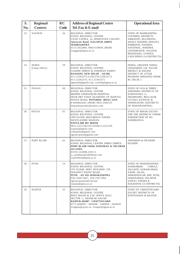| S.  | <b>Regional</b>               | RC   | <b>Address of Regional Centre</b>                                                                                                                                                                                               | <b>Operational Area</b>                                                                                                                                                                                              |
|-----|-------------------------------|------|---------------------------------------------------------------------------------------------------------------------------------------------------------------------------------------------------------------------------------|----------------------------------------------------------------------------------------------------------------------------------------------------------------------------------------------------------------------|
| No. | <b>Centres</b>                | Code | Tel. Fax & E-mail                                                                                                                                                                                                               |                                                                                                                                                                                                                      |
| 33. | <b>NAGPUR</b>                 | 36   | REGIONAL DIRECTOR<br><b>IGNOU REGIONAL CENTRE</b><br>GYAN VATIKA, 14, HINDUSTAN COLONY,<br>Amravati Road, NAGAPUR 440033<br><b>MAHRASHTRA</b><br>0172-2022000, 09657339936 (MOB)<br>rcnagpur@ignou.ac.in                        | STATE OF MAHRASHTRA<br><b>COVERING DISTRICTS</b><br>AMRAVATI, BULDHANA.<br>AKOLA WASHIM, HINGOLI,<br>PARBHANI, NANDED,<br>YAVATMAL , WARDHA,<br>CHANDRAPUR, NAGPUR,<br>BHANDARA, GONDIA,<br>GADCHIROU (14 DISTRICTS) |
| 34. | <b>NOIDA</b><br>(Camp Office) | 39   | REGIONAL DIRECTOR<br>IGNOU REGIONAL CENTRE<br>GANDHI SMRITI & DARSHAN SAMITI<br>RAJGHAT, NEW DELHI - 110 002<br>011-23392375/23392376/233923772<br>011-23392374, 011-23392373<br>ignourd2@gmail.com, rcnoida@ignou.ac.in        | NOIDA, GREATER NOIDA,<br>GHAZIABAD, G.B. NAGAR,<br>MEERUT & BAGPAT<br>DISTRICT OF UTTAR<br>PRADESH OPERATED FROM<br>RC DELHI 2                                                                                       |
| 35. | PANAJI                        | 08   | REGIONAL DIRECTOR<br>IGNOU REGIONAL CENTRE<br>BEHIND CHODANKAR HOSPITAL,<br>NEAR P&T STAFF QUARTERS OF MAPUSA<br>PANAJI ROAD, POVORIM -403521 GOA<br>0-9444024242 (MOB) 0832-2462315<br>msparthasarathy@yahoo.com               | STATE OF GOA & THREE<br>ADJOINING DISTRICTS OF<br>KARNATAKA i.e<br>DHARWARD, BELGAUM,<br>UTTARA KANNAD &<br>SINDHUDURG (DISTRICTS<br>OF MAHARASHTRA)                                                                 |
| 36. | <b>PATNA</b>                  | 05   | REGIONAL DIRECTOR<br>IGNOU REGIONAL CENTRE<br>2ND FLOOR, BISCOMAUN TOWER<br>WESTGANDHI MAIDAN,<br>PATNA-800 001 BIHAR<br>0612-2221538/22215410612-2221539<br>rcpatna@gmail.com<br>rc05patna@gmail.com<br>ignourcpatna@gmail.com | STATE OF BIHAR EXCEPT<br>FOR THE DISTRICTS UNDER<br><b>JURISDICTION OF RC-</b><br><b>DARBHANGA</b>                                                                                                                   |
| 37. | PORT BLAIR                    | 02   | REGIONAL DIRECTOR<br>IGNOU REGIONAL CENTRE JNRM CAMPUS,<br>PORT BLAIR-744104 ANDAMAN & NICOBAR<br><b>ISLANDS</b><br>03192-242888,230111<br>rc_portblair@rediffmail.com<br>rcportblair@ignou.ac.in                               | ANDAMAN & NICOBAR<br><b>ISLANDS</b>                                                                                                                                                                                  |
| 38. | <b>PUNE</b>                   | 16   | REGIONAL DIRECTOR<br>IGNOU REGIONAL CENTRE<br>1ST FLOOR, MSFC BUILDING 270,<br>SENAPATI BAPAT ROAD,<br>PUNE - 411 016 MAHARASHTRA<br>020-256671867, 020-25671864<br>ignourcpune42@vsnl.net<br>rcpune@ignou.ac.in                | STATE OF MAHARASHTRA<br>NANDURBAR<br>I DHULE,<br>JALGAON, AURANGABAD,<br>NASIK, JALNA,<br>AHMADNAGAR ,BID, PUNE,<br>OSMANABAD, SOLAPUR,<br>SANGLI, SATARA &<br>KOLHAPUR (14 DISTRICTS)                               |
| 39. | <b>RAIPUR</b>                 | 35   | REGIONAL DIRECTOR<br>IGNOU REGIONAL CENTRE<br>REST HOUSE & E.M. OFFICE HALL<br>SECTOR -1, SHANKAR NAGAR<br>RAIPUR-492007 CHATTISGARH<br>0771-2428285 / 5056508 / 2445839 / 2445839<br>rrcignou@cg.nic.in, rcraipur@ignou.ac.in  | STATE OF CHHATTISGARH<br><b>EXCEPT DISTRICTS OF</b><br>DANTEWADA & BASTAR                                                                                                                                            |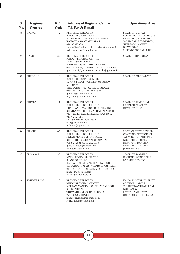| S.  | <b>Regional</b> | <b>RC</b> | <b>Address of Regional Centre</b>                                                                                                                                                                                                                | <b>Operational Area</b>                                                                                                                                   |
|-----|-----------------|-----------|--------------------------------------------------------------------------------------------------------------------------------------------------------------------------------------------------------------------------------------------------|-----------------------------------------------------------------------------------------------------------------------------------------------------------|
| No. | <b>Centres</b>  | Code      | Tel. Fax & E-mail                                                                                                                                                                                                                                |                                                                                                                                                           |
| 40. | <b>RAJKOT</b>   | 42        | REGIONAL DIRECTOR<br>IGNOU REGIONAL CENTRE<br>SAURASHTRA UNIVERSITY CAMPUS<br>RAJKOT - 360005 GUJARAT<br>0281-2572988<br>subrcrajkot@yahoo.co.in, rcrajkot@ignou.ac.in<br>website: www.ignourajkot.org                                           | <b>STATE OF GUJRAT</b><br>COVERING THE DISTRICTS<br>ОҒ КАЈКОТ, КАСНСНН,<br>JAMNAGAR, PORBANDER,<br>JUNAGADH, AMRELI,<br>BHAVNAGAR,<br>SURENDRANAGAR & DIN |
| 41. | <b>RANCHI</b>   | 32        | REGIONAL DIRECTOR<br>IGNOU REGIONAL CENTRE<br>457/A. ASHOK NAGAR,<br>RANCHI - 834022 JHARKHAND<br>0651-2244688, 2244699, 2244677, 2244400<br>ignouranchi@yahoo.com, rdranchi@ignou.ac.in                                                         | STATE OFJHARKHAND                                                                                                                                         |
| 42. | <b>SHILLONG</b> | 18        | REGIONAL DIRECTOR<br><b>IGNOU REGIONAL CENTRES</b><br>SUNNY LODGE NONGTHYMMAINON<br>SHILUANG<br>SHILLONG - 793 003 MEGHALAYA<br>0364-2521117 / 2521271 / 2521271<br>ignou18@sancharnet.in<br>rd_shillong@rediffmail.com                          | STATE OF MEGHALAYA                                                                                                                                        |
| 43. | <b>SHIMLA</b>   | 11        | REGIONAL DIRECTOR<br>IGNOU REGIONAL CENTRE<br>CHAUHAN NIWAS BUILDING.KHALINI<br>SHIMLA-171 002 HIMACHAL PRADESH<br>0177-2624613,2624611,2625843/2624612<br>0177-2624611<br>sml_gnoures@sancharnet.in<br>dbnegi@gmail.com<br>rcshimla@ignou.ac.in | STATE OF HIMACHAL<br>PRADESH (EXCEPT<br>DISTRICT UNA)                                                                                                     |
| 44. | <b>SILIGURI</b> | 45        | REGIONAL DIRECTOR<br>IGNOU REGIONAL CENTRE<br>NETAJI MORE SUBHAS PALLY<br>SILIGURI - 734001 WEST BENGAL<br>0353-25268180353-2526819<br>ignourcsiliguri@yahoo.com<br>rcsiliguri@ignou.ac.in                                                       | STATE OF WEST BENGAL<br>COVERING DISTRICTS OF<br>JALPAIGURI, DARJILING,<br>KOCHBIHAR, UTTAR<br>DINAJPUR, DAKSHIN,<br>DINAJPUR, MALDAH<br>(PART OF WB)     |
| 45. | <b>SRINAGAR</b> | 30        | REGIONAL DIRECTOR<br>IGNOU REGIONAL CENTRE<br>IMANTOO HOUSE.<br>RAJ BAGH NEAR MASJID AL-FAROOQ,<br>SRI NAGAR-190 008 JAMMU & KASHMIR<br>0194-2311251 0194-2311258 0194-2311259<br>ignousgr@hotmail.com<br>rcsrinagar@ignou.ac.in                 | STATE OF JAMMU &<br>KASHMIR (SRINAGAR &<br><b>LADAKH REGION)</b>                                                                                          |
| 46. | TRIVANDRUM      | 40        | REGIONAL DIRECTOR<br>IGNOU REGIONAL CENTRE<br>MEPRAM MANSION, CHEKKALAMUKKU<br>SREEKARIYAM,<br>TRIVANDRUM-695017 KERALA<br>0944750581 (MOB)<br>ignourctrivandrum@gmail.com<br>rctrivandrum@ignou.ac.in                                           | KANYAKUMARI, DISTRICT<br>OF TAMIL NADU &<br>THIRUVANANTHAPURAM,<br>KOLLAM &<br>PATHANAMTHITTA<br>(DISTRICTS OF KERALA)                                    |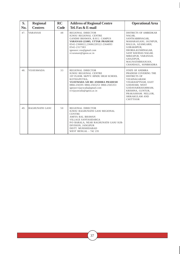| S.  | <b>Regional</b>   | RC   | <b>Address of Regional Centre</b>                                                                                                                                                                                                          | <b>Operational Area</b>                                                                                                                                                                                                                          |
|-----|-------------------|------|--------------------------------------------------------------------------------------------------------------------------------------------------------------------------------------------------------------------------------------------|--------------------------------------------------------------------------------------------------------------------------------------------------------------------------------------------------------------------------------------------------|
| No. | <b>Centres</b>    | Code | Tel. Fax & E-mail                                                                                                                                                                                                                          |                                                                                                                                                                                                                                                  |
| 47. | <b>VARANASI</b>   | 48   | REGIONAL DIRECTOR<br>IGNOU REGIONAL CENTRE<br>GANDHI BHAWAN, B.H.U. CAMPUS<br>VARANASI-221005, UTTAR PRADESH<br>0542-2368022,23686220522-2364893<br>0542-2317383<br>ignousrc.vns@gmail.com<br>rcvaranasi@ignou.ac.in                       | <b>DISTRICTS OF AMBEDKAR</b><br>NAGAR,<br>SANTKABIRNAGAR,<br>MAHARAJGANJ, JAUNPUR,<br>BALLIA, AZAMGARH,<br>GORAKHPUR,<br>DEORIA.KUSHINAGAR,<br>SANT RAVIDAS NAGAR.<br>MIRZAPUR, VARANASI.<br>GHAZIPUR.<br>MAUNATHBHANJAN,<br>CHANDAUL, SONBHADRA |
| 48. | <b>VIJAYAWADA</b> | 33   | REGIONAL DIRECTOR<br>IGNOU REGIONAL CENTRE<br>1ST FLOOR. SKPVV. HINDU HIGH SCHOOL<br>КОТНАРЕТНА,<br>VIJAYWADA 520 001 ANDHRA PRADESH<br>0866-256595 0866-2565253 0866-2565353<br>ignourcvijaywada@gmail.com<br>rcvijayawada@ignou.ac.in    | <b>STATE OF ANDHRA</b><br>PRADESH COVERING THE<br><b>DISTRICTS OF</b><br>VIZAINAGARAM.<br>VISAKHAPTNAM, EAST<br>GODAVARI, WEST<br>GODAVARIKHAMMAM,<br>KRISHNA, GUNTUR,<br>PRAKASHAM. NELLOR,<br>SRIKAKULAM AND<br><b>CHITTOOR</b>                |
| 49. | RAGHUNATH GANJ    | 50   | REGIONAL DIRECTOR<br>IGNOU RAGHUNATH GANJ REGIONAL<br><b>CENTRE</b><br><b>AMIYA BAL BHAWAN</b><br><b>VILLAGE SANYASIDARGA</b><br>P/O BARALA, NEAR RAGHUNATH GANJ SUB-<br>DIVISION, JANGIPUR<br>DISTT. MURSHIDABAD<br>WEST BENGAL - 742 235 |                                                                                                                                                                                                                                                  |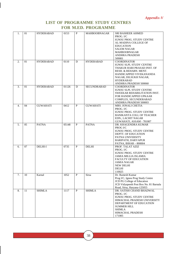*Appendix-V*

#### **LIST OF PROGRAMME STUDY CENTRES FOR M.ED. PROGRAMME**

| 1. | 01 | <b>HYDERABAD</b> | 0153  | P            | <b>MAHBOOBNAGAR</b> | SRI BASHEER AHMED                      |
|----|----|------------------|-------|--------------|---------------------|----------------------------------------|
|    |    |                  |       |              |                     | PROG. I/C                              |
|    |    |                  |       |              |                     |                                        |
|    |    |                  |       |              |                     | IGNOU PROG. STUDY CENTRE               |
|    |    |                  |       |              |                     | AL-MADINA COLLEGE OF                   |
|    |    |                  |       |              |                     | <b>EDUCATION</b>                       |
|    |    |                  |       |              |                     | <b>SALEM NAGAR</b>                     |
|    |    |                  |       |              |                     | <b>MAHBOOBNAGAR</b>                    |
|    |    |                  |       |              |                     | <b>ANDHRA PRADESH</b>                  |
|    |    |                  |       |              |                     | 509001                                 |
| 2. | 01 | <b>HYDERABAD</b> | 0110  | D            | <b>HYDERABAD</b>    | <b>COORDINATOR</b>                     |
|    |    |                  |       |              |                     | IGNOU SLPL STUDY CENTRE                |
|    |    |                  |       |              |                     | THAKUR HARI PRASAD INST. OF            |
|    |    |                  |       |              |                     | RESH. & REHABN. MENT.                  |
|    |    |                  |       |              |                     | HANDICAPPED VIVEKANANDA                |
|    |    |                  |       |              |                     |                                        |
|    |    |                  |       |              |                     | NAGAR, DILSUKH NAGAR,                  |
|    |    |                  |       |              |                     | <b>HYDERABAD</b>                       |
|    |    |                  |       |              |                     | ANDHRA PRADESH 500060                  |
| 3. | 01 | <b>HYDERABAD</b> | 01126 | D            | <b>SECUNDRABAD</b>  | <b>COORDINATOR</b>                     |
|    |    |                  |       |              |                     | IGNOU SLPL STUDY CENTRE                |
|    |    |                  |       |              |                     | SWEEKAR REHABILITATION INST.           |
|    |    |                  |       |              |                     | FOR HANDICAPPED UPKAAR                 |
|    |    |                  |       |              |                     | COMPLEX, SECUNDERABAD                  |
|    |    |                  |       |              |                     | ANDHRA PRADESH 500003                  |
| 4. | 04 | <b>GUWAHATI</b>  | 0412  | P            | <b>GUWAHATI</b>     | MRS. JONALI CHETIA                     |
|    |    |                  |       |              |                     | PROG. I/C                              |
|    |    |                  |       |              |                     | IGNOU PROG. STUDY CENTRE               |
|    |    |                  |       |              |                     | <b>BANIKANTA COLL OF TEACHER</b>       |
|    |    |                  |       |              |                     | <b>EDN., LACHIT NAGAR</b>              |
|    |    |                  |       |              |                     | GUWAHATI, ASSAM - 781007               |
| 5. | 05 | <b>PATNA</b>     | 05148 | P            | <b>PATNA</b>        | DR. KHAGENDRA KUMAR                    |
|    |    |                  |       |              |                     |                                        |
|    |    |                  |       |              |                     | PROG I/C                               |
|    |    |                  |       |              |                     | IGNOU PROG. STUDY CENTRE               |
|    |    |                  |       |              |                     | DEPTT. OF EDUCATION                    |
|    |    |                  |       |              |                     | PATNA UNIVERSITY                       |
|    |    |                  |       |              |                     | <b>BARIPATH, DARYAPUR</b>              |
|    |    |                  |       |              |                     | PATNA, BIHAR - 800004                  |
| 6. | 07 | <b>DELHI-I</b>   | 0735  | $\mathbf{P}$ | <b>DELHI</b>        | PROF. TALAT AZIZ                       |
|    |    |                  |       |              |                     | PROG. I/C                              |
|    |    |                  |       |              |                     | IGNOU PROG. STUDY CENTRE               |
|    |    |                  |       |              |                     | <b>JAMIA MILLIA ISLAMIA</b>            |
|    |    |                  |       |              |                     | <b>FACULTY OF EDUCATION</b>            |
|    |    |                  |       |              |                     | <b>JAMIA NAGAR</b>                     |
|    |    |                  |       |              |                     | NEW DELHI                              |
|    |    |                  |       |              |                     | <b>DELHI</b>                           |
|    |    |                  |       |              |                     | 110025                                 |
| 7. | 10 |                  |       | $\mathbf{P}$ | <b>Sirsa</b>        | Dr. Ramesh Kumar                       |
|    |    | Karnal           | 1052  |              |                     |                                        |
|    |    |                  |       |              |                     | Prog I/C, Ignou Prog Study Centre      |
|    |    |                  |       |              |                     | JCD PG College of Education            |
|    |    |                  |       |              |                     | JCD Vidyapeeth Post Box No. 81 Barnala |
|    |    |                  |       |              |                     | Road, Sirsa, Haryana-125055            |
| 8. | 11 | <b>SHIMLA</b>    | 1117  | $\mathbf{P}$ | <b>SHIMLA</b>       | DR. SATISH CHAND BHADWAL               |
|    |    |                  |       |              |                     | PROG. I/C                              |
|    |    |                  |       |              |                     | IGNOU PROG. STUDY CENTRE               |
|    |    |                  |       |              |                     | HIMACHAL PRADESH UNIVERSITY            |
|    |    |                  |       |              |                     | DEPARTMENT OF EDUCATION                |
|    |    |                  |       |              |                     | <b>SUMMER HILL</b>                     |
|    |    |                  |       |              |                     | <b>SHIMLA</b>                          |
|    |    |                  |       |              |                     | HIMACHAL PRADESH                       |
|    |    |                  |       |              |                     | 171005                                 |
|    |    |                  |       |              |                     |                                        |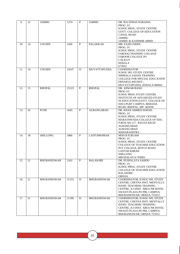| 9.  | 12 | <b>JAMMU</b>       | 1274  | $\mathbf{P}$ | <b>JAMMU</b>        | DR. RAJ SINGH NARANIA                |
|-----|----|--------------------|-------|--------------|---------------------|--------------------------------------|
|     |    |                    |       |              |                     | PROG. I/C                            |
|     |    |                    |       |              |                     | IGNOU PROG. STUDY CENTRE             |
|     |    |                    |       |              |                     | <b>GOVT. COLLEGE OF EDUCATION</b>    |
|     |    |                    |       |              |                     | <b>CANAL ROAD</b>                    |
|     |    |                    |       |              |                     | <b>JAMMU</b>                         |
|     |    |                    |       |              |                     | JAMMU & KASHMIR-180001               |
| 10. | 14 | <b>COCHIN</b>      | 1426  | P            | <b>PALAKKAD</b>     | MR. FAZILUDDIN                       |
|     |    |                    |       |              |                     | PROG. I/C                            |
|     |    |                    |       |              |                     | IGNOU PROG. STUDY CENTRE             |
|     |    |                    |       |              |                     |                                      |
|     |    |                    |       |              |                     | FAROOQ TRAINING COLLEGE              |
|     |    |                    |       |              |                     | <b>FAROOK COLLEGE PO</b>             |
|     |    |                    |       |              |                     | <b>CALICUT</b>                       |
|     |    |                    |       |              |                     | <b>KERALA</b>                        |
|     |    |                    |       |              |                     | 673632                               |
| 11. | 14 | <b>COCHIN</b>      | 14147 | D            | <b>MUVATTAPUZHA</b> | <b>COORDINATOR</b>                   |
|     |    |                    |       |              |                     | IGNOU SPL STUDY CENTRE               |
|     |    |                    |       |              |                     | NIRMALA SADAN TRAINING               |
|     |    |                    |       |              |                     | <b>COLLEGE FOR SPECIAL EDUCATION</b> |
|     |    |                    |       |              |                     | ERNAKULAM DIST.,                     |
|     |    |                    |       |              |                     | MUVATTAPUZHA, KERALA-686661          |
| 12. | 15 | <b>BHOPAL</b>      | 15123 | $\mathbf{P}$ | <b>BHOPAL</b>       | DR. ANWAR BANO                       |
|     |    |                    |       |              |                     | PROG I/C                             |
|     |    |                    |       |              |                     | <b>IGNOU PROG STUDY CENTRE</b>       |
|     |    |                    |       |              |                     | <b>INSTITUTE OF ADVANCED STUDY</b>   |
|     |    |                    |       |              |                     | IN EDUCATION (GOVT. COLLEGE OF       |
|     |    |                    |       |              |                     | EDU) PGBT CAMPUS, BERASIA            |
|     |    |                    |       |              |                     | ROAD, BHOPAL, MP- 462038             |
| 13. | 16 | <b>PUNE</b>        | 1645  | P            | <b>AURANGABAD</b>   | DR. KHAN AHMED SOHAIL                |
|     |    |                    |       |              |                     | PROG. I/C                            |
|     |    |                    |       |              |                     | IGNOU PROG. STUDY CENTRE             |
|     |    |                    |       |              |                     | MARATHWADA COLLEGE OF EDU.           |
|     |    |                    |       |              |                     | P.BOX NO.117, RAUZA BAGH             |
|     |    |                    |       |              |                     | <b>AURANGABAD</b>                    |
|     |    |                    |       |              |                     |                                      |
|     |    |                    |       |              |                     | <b>AURANGABAD</b>                    |
|     |    |                    |       | $\mathbf{P}$ |                     | MAHARASHTRA                          |
| 14. | 18 | <b>SHILLONG</b>    | 1866  |              | <b>LAITUMKHRAH</b>  | <b>MISS B H BUAM</b>                 |
|     |    |                    |       |              |                     | PROG. I/C                            |
|     |    |                    |       |              |                     | IGNOU PROG. STUDY CENTRE             |
|     |    |                    |       |              |                     | <b>COLLEGE OF TEACHER EDUCATION</b>  |
|     |    |                    |       |              |                     | PGT COLLEGE, BOYCE ROAD              |
|     |    |                    |       |              |                     | <b>LAITUM KHRAH</b>                  |
|     |    |                    |       |              |                     | <b>SHILLONG</b>                      |
|     |    |                    |       |              |                     | MEGHALAYA-793003                     |
| 15. | 21 | <b>BHUBANESWAR</b> | 2162  | P            | <b>BALASORE</b>     | DR. PUSPALATA SAHOO                  |
|     |    |                    |       |              |                     | PROG. I/C                            |
|     |    |                    |       |              |                     | IGNOU PROG. STUDY CENTRE             |
|     |    |                    |       |              |                     | <b>COLLEGE OF TEACHER EDUCATION</b>  |
|     |    |                    |       |              |                     | <b>BALASORE</b>                      |
|     |    |                    |       |              |                     | <b>ORISSA</b>                        |
| 16. | 21 | <b>BHUBANESWAR</b> | 21155 | D            | <b>BHUBANESWAR</b>  | COORDINATOR, IGNOU SPL STUDY         |
|     |    |                    |       |              |                     | CENTRE, CHETNA INST. MENTALLY        |
|     |    |                    |       |              |                     | HAND. TEACHERS TRAINING              |
|     |    |                    |       |              |                     | CENTRE, A/3 INST. AREA NR HOTEL      |
|     |    |                    |       |              |                     | SWASTI PLAZA PO PRL CAMPUS,          |
|     |    |                    |       |              |                     | BHUBANESWAR, ORISSA-751013           |
| 17. | 21 | <b>BHUBANESWAR</b> | 21180 | D            | <b>BHUBANESWAR</b>  | COORDINATOR, IGNOU SPL STUDY         |
|     |    |                    |       |              |                     | CENTRE, CHETNA INST. MENTALLY        |
|     |    |                    |       |              |                     | HAND. TEACHERS TRAINING              |
|     |    |                    |       |              |                     |                                      |
|     |    |                    |       |              |                     | CENTRE, A/3 INST. AREA NR HOTEL      |
|     |    |                    |       |              |                     | SWASTI PLAZA PO PRL CAMPUS,          |
|     |    |                    |       |              |                     | BHUBANESWAR, ORISSA-751013           |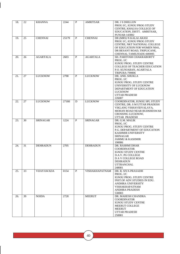| 18. | 22 | <b>KHANNA</b>   | 2244  | $\mathbf{P}$ | <b>AMRITSAR</b> | DR. J S DHILLON                                          |
|-----|----|-----------------|-------|--------------|-----------------|----------------------------------------------------------|
|     |    |                 |       |              |                 | PROG I/C, IGNOU PROG STUDY                               |
|     |    |                 |       |              |                 | CENTRE, KHALSA COLLEGE OF                                |
|     |    |                 |       |              |                 | EDUCATION, DISTT. AMRITSAR,<br><b>PUNJAB-143002</b>      |
| 19. | 25 | <b>CHENNAI</b>  | 25179 | P            | <b>CHENNAI</b>  | DR (MRS) N KALAI ARASI                                   |
|     |    |                 |       |              |                 | PROG I/C, IGNOU PROG STUDY                               |
|     |    |                 |       |              |                 | CENTRE, NKT NATIONAL COLLEGE                             |
|     |    |                 |       |              |                 | OF EDUCATION FOR WOMEN N041,                             |
|     |    |                 |       |              |                 | DR BESANT ROAD, TRIPLICANE,                              |
|     |    |                 |       |              |                 | CHENNAI, TAMILNADU-600005                                |
| 20. | 26 | <b>AGARTALA</b> | 2603  | $\mathbf{P}$ | <b>AGARTALA</b> | SH. PARITOSH CHAKRABORTY                                 |
|     |    |                 |       |              |                 | PROG. I/C                                                |
|     |    |                 |       |              |                 | IGNOU PROG. STUDY CENTRE                                 |
|     |    |                 |       |              |                 | <b>COLLEGE OF TEACHER EDUCATION</b>                      |
|     |    |                 |       |              |                 | P.O. KUNJABAN, AGARTALA<br><b>TRIPURA-799006</b>         |
| 21. | 27 | <b>LUCKNOW</b>  | 2790  | $\mathbf{P}$ | <b>LUCKNOW</b>  | DR. ANIL SHUKLA                                          |
|     |    |                 |       |              |                 | PROG. I/C                                                |
|     |    |                 |       |              |                 | <b>IGNOU PROG. STUDY CENTRE</b>                          |
|     |    |                 |       |              |                 | UNIVERSITY OF LUCKNOW                                    |
|     |    |                 |       |              |                 | DEPARTMENT OF EDUCATION                                  |
|     |    |                 |       |              |                 | <b>LUCKNOW</b>                                           |
|     |    |                 |       |              |                 | <b>UTTAR PRADESH</b>                                     |
|     |    |                 |       |              |                 | 226007                                                   |
| 22. | 27 | <b>LUCKNOW</b>  | 27180 | D            | <b>LUCKNOW</b>  | COORDINATOR, IGNOU SPL STUDY                             |
|     |    |                 |       |              |                 | CENTRE, DR. S M UTTAR PRADESH<br>VIKLANG VISHAVIDYALAYA, |
|     |    |                 |       |              |                 | MOHAN ROAD NEAR BUDSHESWAR                               |
|     |    |                 |       |              |                 | CROSSING LUCKNOW,                                        |
|     |    |                 |       |              |                 | UTTAR PRADESH                                            |
| 23. | 30 | <b>SRINAGAR</b> | 1224  | $\mathbf{P}$ | <b>SRINAGAR</b> | DR. G.M. MALIK                                           |
|     |    |                 |       |              |                 | PROG. I/C                                                |
|     |    |                 |       |              |                 | IGNOU PROG. STUDY CENTRE                                 |
|     |    |                 |       |              |                 |                                                          |
|     |    |                 |       |              |                 | P.G. DEPARTMENT OF EDUCATION                             |
|     |    |                 |       |              |                 | KASHMIR UNIVERSITY                                       |
|     |    |                 |       |              |                 | <b>SRINAGAR</b>                                          |
|     |    |                 |       |              |                 | <b>JAMMU &amp; KASHMIR</b>                               |
|     |    |                 |       |              |                 | 190006                                                   |
| 24. | 31 | <b>DEHRADUN</b> | 2705  |              | <b>DEHRADUN</b> | DR. RASHMI DHAR                                          |
|     |    |                 |       |              |                 | <b>COORDINATOR</b>                                       |
|     |    |                 |       |              |                 | IGNOU STUDY CENTRE                                       |
|     |    |                 |       |              |                 | D.A.V. PG COLLEGE<br><b>DAV COLLEGE ROAD</b>             |
|     |    |                 |       |              |                 | <b>DEHRADUN</b>                                          |
|     |    |                 |       |              |                 | <b>UTTRANCHAL</b>                                        |
|     |    |                 |       |              |                 | 248001                                                   |
| 25. | 33 | VIJAYAWADA      | 0154  | P            | VISHAKHAPATNAM  | DR. R. SIVA PRASADH                                      |
|     |    |                 |       |              |                 | PROG. I/C                                                |
|     |    |                 |       |              |                 | IGNOU PROG. STUDY CENTRE                                 |
|     |    |                 |       |              |                 | INST.OF ADV.STUDIES IN EDU.                              |
|     |    |                 |       |              |                 | ANDHRA UNIVERSITY                                        |
|     |    |                 |       |              |                 | <b>VISHAKHAPATNAM</b>                                    |
|     |    |                 |       |              |                 | <b>ANDHRA PRADESH</b>                                    |
| 26. | 39 | <b>NOIDA</b>    | 2728  |              | <b>MEERUT</b>   | 530003<br>DR. MAHESH CHANDRA                             |
|     |    |                 |       |              |                 | <b>COORDINATOR</b>                                       |
|     |    |                 |       |              |                 | <b>IGNOU STUDY CENTRE</b>                                |
|     |    |                 |       |              |                 | <b>MEERUT COLLEGE</b>                                    |
|     |    |                 |       |              |                 | <b>MEERUT</b>                                            |
|     |    |                 |       |              |                 | <b>UTTAR PRADESH</b><br>250001                           |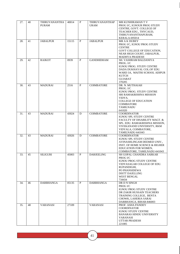| 27. | 40 | THIRUVANANTHA<br><b>PURAM</b> | 40014 | P            | THIRUVANANTHAP<br><b>URAM</b> | MR KUNHIRAMAN T V<br>PROG I/C, IGNOUR PROG STUDY<br>CENTRE, GOVT. COLLEGE OF<br>TEACHER EDU., THYCAUD,<br>THIRUVANANTHAPURAM,                                                                     |
|-----|----|-------------------------------|-------|--------------|-------------------------------|---------------------------------------------------------------------------------------------------------------------------------------------------------------------------------------------------|
| 28. | 41 | <b>JABALPUR</b>               | 15115 | P            | <b>JABALPUR</b>               | <b>KERALA-695014</b><br>MR A K DUBEY<br>PROG I/C, IGNOU PROG STUDY<br><b>CENTRE</b><br>GOVT COLLEGE OF EDUCATION,<br>NEAR HIGH COURT, JABALPUR,                                                   |
| 29. | 42 | <b>RAJKOT</b>                 | 0939  | $\mathbf{P}$ | <b>GANDHIDHAM</b>             | <b>MADHYA PRADESH</b><br>SH. VASHRAM BALDANIYA<br>PROG. I/C<br>IGNOU PROG. STUDY CENTRE<br>DADA DUKHAYAL COL.OF EDU.<br>WARD 3A, MAITRI SCHOOL ADIPUR<br><b>KUTCH</b><br><b>GUJARAT</b><br>370205 |
| 30. | 43 | <b>MADURAI</b>                | 2516  | $\mathbf{P}$ | <b>COIMBATORE</b>             | DR. N. MUTHAIAH<br>PROG. I/C<br>IGNOU PROG. STUDY CENTRE<br>SRI RAMAKRISHNA MISSION<br>VIDYA.<br><b>COLLEGE OF EDUCATION</b><br><b>COIMBATORE</b><br><b>TAMILNADU</b><br>641020                   |
| 31. | 43 | <b>MADURAI</b>                | 43024 | D            | <b>COIMBATORE</b>             | <b>COORDINATOR</b><br>IGNOU SPL STUDY CENTRE<br>FACULTY OF DISABILITY MAGT. &<br>SPL. EDU. RAMAKRISHNA MISSION,<br>VIVEKANAND UNIVERSITY, RKM<br>VIDYALA, COIMBATORE,<br>TAMILNADU-641043         |
| 32. | 43 | <b>MADURAI</b>                | 43026 | D            | <b>COIMBATORE</b>             | <b>COORDINATOR</b><br>IGNOU SPL STUDY CENTRE<br>AVINASHLINGAM DEEMED UNIV.,<br>INST. OF HOME SCIENCE & HIGHER<br>EDUCATION FOR WOMEN,<br>COIMBATORE, TAMILNADU-641043                             |
| 33. | 45 | <b>SILIGURI</b>               | 45003 | P            | DARJEELING                    | SH GOPAL CHANDRA SARKAR<br>PROG I/C<br>IGNOU PROG STUDY CENTRE<br>VIDYASAGAR COLLEGE OF EDU.<br>RUPANDIGHI.<br>PO PHANSIDEWA<br><b>DISTT DAJELLING</b><br><b>WEST BENGAL</b><br>734434            |
| 34. | 46 | <b>DARBHANGA</b>              | 05135 | P            | <b>DARBHANGA</b>              | DR D N SINGH<br>PROG I/C<br>IGNOU PROG STUDY CENTRE<br>DR ZAKIR HUSSAIN TEACHERS<br>TRAINING COLLEGE, BENTA<br>CHOWK, LAHERIA SARAI<br>DARBHANGA, BIHAR-846003                                    |
| 35. | 48 | <b>VARANASI</b>               | 27109 |              | <b>VARANASI</b>               | PROF. ASHA PANDEY<br><b>COORDINATOR</b><br><b>IGNOU STUDY CENTRE</b><br><b>BANARAS HINDU UNIVERSITY</b><br><b>VARANASI</b><br>UTTAR PRADESH<br>221005                                             |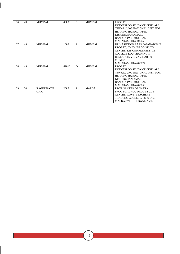| 36. | 49 | <b>MUMBAI</b>    | 49003 | P            | <b>MUMBAI</b> | PROG I/C                      |
|-----|----|------------------|-------|--------------|---------------|-------------------------------|
|     |    |                  |       |              |               | IGNOU PROG STUDY CENTRE, ALI  |
|     |    |                  |       |              |               | YUVAR JUNG NATIONAL INST. FOR |
|     |    |                  |       |              |               | <b>HEARING HANDICAPPED</b>    |
|     |    |                  |       |              |               | KISHENCHAND MARG,             |
|     |    |                  |       |              |               | BANDRA (W), MUMBAI,           |
|     |    |                  |       |              |               | MAHARASHTRA-400050            |
| 37. | 49 | <b>MUMBAI</b>    | 1688  | $\mathbf{P}$ | <b>MUMBAI</b> | DR VASUNDHARA PADMANABHAN     |
|     |    |                  |       |              |               | PROG I/C, IGNOU PROG STUDY    |
|     |    |                  |       |              |               | CENTRE, KJS COMPREHENSIVE     |
|     |    |                  |       |              |               | COLLEGE EDU TRAINING $\&$     |
|     |    |                  |       |              |               | RESEARCH, VIDYAVIHAR (e),     |
|     |    |                  |       |              |               | MUMBAL                        |
|     |    |                  |       |              |               | MAHARASHTRA-400077            |
| 38. | 49 | <b>MUMBAI</b>    | 49013 | D            | <b>MUMBAI</b> | PROG I/C                      |
|     |    |                  |       |              |               | IGNOU PROG STUDY CENTRE, ALI  |
|     |    |                  |       |              |               | YUVAR JUNG NATIONAL INST. FOR |
|     |    |                  |       |              |               | <b>HEARING HANDICAPPED</b>    |
|     |    |                  |       |              |               | KISHENCHAND MARG,             |
|     |    |                  |       |              |               | BANDRA (W), MUMBAI,           |
|     |    |                  |       |              |               | MAHARASHTRA-400050            |
| 39. | 50 | <b>RAGHUNATH</b> | 2885  | $\mathbf{P}$ | <b>MALDA</b>  | PROF. SAKTIPADA PATRA         |
|     |    | <b>GANJ</b>      |       |              |               | PROG I/C, IGNOU PROG STUDY    |
|     |    |                  |       |              |               | CENTRE, GOVT. TEACHERS        |
|     |    |                  |       |              |               | TRAINING COLLEGE, PO & DIST.  |
|     |    |                  |       |              |               | MALDA, WEST BENGAL-732101     |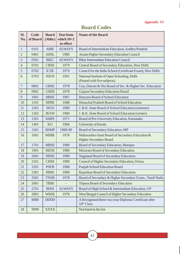# **Board Codes**

| Sl.<br>No.     | Code<br>of Board | <b>Board</b><br>(Abbr.) | <b>Year from</b><br>which $10+2$<br>in effect | <b>Name of the Board</b>                                                          |
|----------------|------------------|-------------------------|-----------------------------------------------|-----------------------------------------------------------------------------------|
| $\mathbf{1}$   | 0101             | <b>ABIE</b>             | <b>ALWAYS</b>                                 | Board of Intermediate Education, Andhra Pradesh                                   |
| $\overline{2}$ | 0401             | <b>AHSL</b>             | 1986                                          | Assam Higher Secondary Education Council                                          |
| 3              | 0501             | <b>BIEC</b>             | <b>ALWAYS</b>                                 | <b>Bihar Intermediate Education Council</b>                                       |
| $\overline{4}$ | 0701             | <b>CBSE</b>             | 1979                                          | Central Board of Secondary Education, New Delhi                                   |
| 5              | 0702             | <b>ICSE</b>             | 1979                                          | Council for the India School (Certificate Exam), New Delhi                        |
| 6              | 0703             | <b>NIOS</b>             | 1991                                          | National Institute of Open Schooling, Delhi<br>(Passed with five subjects)        |
| $\overline{7}$ | 0801             | <b>GBSE</b>             | 1978                                          | Goa, Daman & Diu Board of Sec. & Higher Sec. Education                            |
| 8              | 0901             | <b>GSEB</b>             | 1978                                          | <b>Gujarat Secondary Education Board</b>                                          |
| 9              | 1001             | <b>HBSE</b>             | 1987                                          | Haryana Board of School Education                                                 |
| 10             | 1101             | <b>HPBE</b>             | 1988                                          | Himachal Pradesh Board of School Education                                        |
| 11             | 1201             | <b>JKSS</b>             | 1980                                          | J. & K. State Board of School Education (summer)                                  |
| 12             | 1202             | <b>JKSW</b>             | 1980                                          | J. & K. State Board of School Education (winter)                                  |
| 13             | 1301             | <b>KBPE</b>             | 1971                                          | Board of Pre-University Education, Karnataka                                      |
| 14             | 1401             | KU                      | 1966                                          | University of Kerala                                                              |
| 15             | 1501             | <b>BSMP</b>             | 1988-89                                       | Board of Secondary Education, MP                                                  |
| 16             | 1601             | <b>MSBE</b>             | 1978                                          | Maharashtra State Board of Secondary Education &<br><b>Higher Secondary Board</b> |
| 17             | 1701             | <b>MBSE</b>             | 1980                                          | Board of Secondary Education, Manipur                                             |
| 18             | 1901             | <b>MZSE</b>             | 1980                                          | Mizoram Board of Secondary Education                                              |
| 19             | 2001             | <b>NBSE</b>             | 1980                                          | Nagaland Board of Secondary Education                                             |
| 20             | 2101             | <b>CHSE</b>             | 1980                                          | Council of Higher Secondary Education, Orissa                                     |
| 21             | 2201             | <b>PSEB</b>             | 1988                                          | <b>Punjab School Education Board</b>                                              |
| 22             | 2301             | <b>RBSE</b>             | 1986                                          | Rajasthan Board of Secondary Education                                            |
| 23             | 2501             | <b>TNSB</b>             | 1978                                          | Board of Secondary & Higher Secondary Exam., Tamil Nadu                           |
| 24             | 2601             | <b>TBSE</b>             |                                               | Tripura Board of Secondary Education                                              |
| 25             | 2701             | <b>BHSI</b>             | <b>ALWAYS</b>                                 | Board of High School & Intermediate Education, UP                                 |
| 26             | 2802             | <b>WBSE</b>             | 1978                                          | West Bengal Council of Higher Secondary Education                                 |
| 27             | 8888             | <b>DDDD</b>             |                                               | A Recognised three/two year Diploma/Certificate after<br>10 <sup>th</sup> Class   |
| 28             | 9999             | <b>XXXX</b>             |                                               | Not listed in this list                                                           |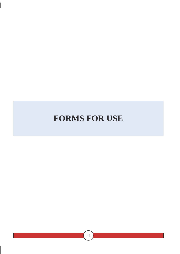# **FORMS FOR USE**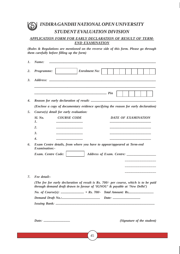# *INDIRA GANDHI NATIONAL OPEN UNIVERSITY STUDENT EVALUATION DIVISION*

#### *APPLICATION FORM FOR EARLY DECLARATION OF RESULT OF TERM-END EXAMINATION*

*(Rules & Regulations are mentioned on the reverse side of this form. Please go through them carefully before filling up the form)*

| 1. | Name:                                                                                    |                        |                                                                                                                                                                    |                            |  |  |
|----|------------------------------------------------------------------------------------------|------------------------|--------------------------------------------------------------------------------------------------------------------------------------------------------------------|----------------------------|--|--|
| 2. | Programme:                                                                               |                        | <b>Enrolment No:</b>                                                                                                                                               |                            |  |  |
| 3. |                                                                                          |                        |                                                                                                                                                                    |                            |  |  |
|    |                                                                                          |                        |                                                                                                                                                                    |                            |  |  |
|    |                                                                                          |                        |                                                                                                                                                                    |                            |  |  |
| 4. |                                                                                          |                        |                                                                                                                                                                    |                            |  |  |
|    |                                                                                          |                        | (Enclose a copy of documentary evidence specifying the reason for early declaration)                                                                               |                            |  |  |
| 5. | $Course(s)$ detail for early evaluation:                                                 |                        |                                                                                                                                                                    |                            |  |  |
|    | Sl. No.<br>$\boldsymbol{I}$ .                                                            | <b>COURSE CODE</b><br> |                                                                                                                                                                    | <b>DATE OF EXAMINATION</b> |  |  |
|    | 2.                                                                                       |                        |                                                                                                                                                                    |                            |  |  |
|    | 3.                                                                                       |                        |                                                                                                                                                                    |                            |  |  |
|    | $\boldsymbol{4}$ .                                                                       |                        |                                                                                                                                                                    |                            |  |  |
| 6. | Exam Centre details, from where you have to appear/appeared at Term-end<br>Examination:- |                        |                                                                                                                                                                    |                            |  |  |
|    | Exam. Centre Code:                                                                       |                        |                                                                                                                                                                    |                            |  |  |
|    |                                                                                          |                        |                                                                                                                                                                    |                            |  |  |
|    |                                                                                          |                        |                                                                                                                                                                    |                            |  |  |
| 7. | Fee detail:-                                                                             |                        |                                                                                                                                                                    |                            |  |  |
|    |                                                                                          |                        | (The fee for early declaration of result is Rs. 700/- per course, which is to be paid<br>through demand draft drawn in favour of 'IGNOU' & payable at 'New Delhi') |                            |  |  |
|    | <i>No. of Course(s): </i> $\times$ <i>Rs. 700/- Total Amount: Rs</i>                     |                        |                                                                                                                                                                    |                            |  |  |
|    |                                                                                          |                        |                                                                                                                                                                    |                            |  |  |

*Issuing Bank: .............................................................................................................*

*Date: ............................. (Signature of the student)*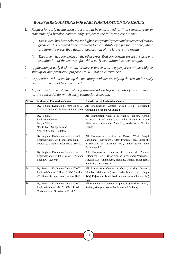#### *RULES & REGULATIONS FOR EARLY DECLARATION OF RESULTS*

- *1. Request for early declaration of results will be entertained for final semester/year or maximum of 4 backlog courses only, subject to the following conditions:-*
	- *(i) The student has been selected for higher study/employment and statement of marks/ grade card is required to be produced to the institute by a particular date, which is before the prescribed dates of declaration of the University's results.*
	- *(ii) The student has completed all the other prescribed components except the term-end examination of the courses, for which early evaluation has been sought.*
- *2. Application for early declaration, for the reasons such as to apply for recruitment/higher study/post and promotion purpose etc. will not be entertained.*
- *3. Application without enclosing documentary evidence specifying the reason for early declaration will not be entertained.*
- *4. Application form must reach at the following address before the date of the examination for the course (s) for which early evaluation is sought:-*

| SI.No. | <b>Address of Evaluation Centre</b>                                                                                                   | <b>Jurisdiction of Evaluation Centre</b>                                                                                                                                                               |
|--------|---------------------------------------------------------------------------------------------------------------------------------------|--------------------------------------------------------------------------------------------------------------------------------------------------------------------------------------------------------|
| 1.     | Dy. Registrar Evaluation Centre Block-5,<br>IGNOU Maidan Garhi New Delhi-110068                                                       | All Examination Centres within Delhi, Faridabad,<br>Gurgaon, Noida and Ghaziabad                                                                                                                       |
| 2.     | Dy. Registrar<br><b>Evaluation Centre</b><br>Periyar Thidal<br>No.50, EVK Sampath Road<br>Vepery, Chennai - 600 007                   | All Examination Centres in Andhra Pradesh, Kerala,<br>Karnataka, Tamil Nadu (area under Madurai RC), and<br>Maharastra (area under Pune RC), Andaman & Nicobar<br><b>Islands</b>                       |
| 3.     | Dy. Registrar Evaluation Centre IGNOU<br>Regional Centre 2 <sup>nd</sup> Floor, Biscomaun<br>Tower W. Gandhi Maidan Patna -800 001    | All Examination Centres in Orissa, West Bengal,<br>Jharkhand, Chattisgarh, Uttar Pradesh (area under the<br>jurisdiction of Lucknow RC), Bihar (area under<br>Darbhanga RC)                            |
| 4.     | Dy. Registrar Evaluation Centre IGNOU<br>Regional Centre B-1/33, Sector-H, Aliganj<br>Lucknow - 226 024                               | All<br>Examination Centres<br>in<br>Pradesh.<br>Himachal<br>Uttaranchal, J&K, Uttar Pradesh (areas under Varanasi &<br>Aligarh RCs) Chandigarh, Haryana, Punjab, Bihar (areas<br>under Patna RC) Assam |
| 5.     | Dy. Registrar Evaluation Centre IGNOU<br>Regional Centre 1 <sup>st</sup> Floor, MSFC Building<br>270, Senapati Bapat Road Pune-411016 | All Examination Centres in Gujrat, Madhya Pradesh,<br>Mumbai, Maharastra (areas under Mumbai and Nagpur<br>RCs) Rajasthan, Tamil Nadu (area under Chennai RC),<br>Goa                                  |
| 6.     | Dy. Registrar Evaluation Centre IGNOU<br>Regional Centre H/No.71, GMC Road<br>Christian Basti Guwahati - 781 005                      | All Examination Centres in Tripura, Nagaland, Mizoram,<br>Sikkim, Manipur, Arunachal Pradesh, Meghalaya                                                                                                |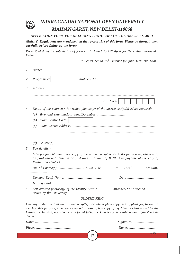# *INDIRA GANDHI NATIONAL OPEN UNIVERSITY MAIDAN GARHI, NEW DELHI-110068*

#### *APPLICATION FORM FOR OBTAINING PHOTOCOPY OF THE ANSWER SCRIPT*

*(Rules & Regulations are mentioned on the reverse side of this form. Please go through them carefully before filling up the form).*

*Prescribed dates for submission of form:- 1st March to 15th April for December Term-end Exam.*

*1st September to 15th October for june Term-end Exam.*

| 1. | Name:                                                                                                                                                                                                                                                                                                             |     |       |                       |         |
|----|-------------------------------------------------------------------------------------------------------------------------------------------------------------------------------------------------------------------------------------------------------------------------------------------------------------------|-----|-------|-----------------------|---------|
| 2. | Enrolment No:<br>Programme:                                                                                                                                                                                                                                                                                       |     |       |                       |         |
| 3. | Address:                                                                                                                                                                                                                                                                                                          |     |       |                       |         |
|    |                                                                                                                                                                                                                                                                                                                   |     |       |                       |         |
|    |                                                                                                                                                                                                                                                                                                                   |     |       |                       |         |
| 4. | Detail of the course(s), for which photocopy of the answer script(s) is/are required:                                                                                                                                                                                                                             |     |       |                       |         |
|    | $\left( a\right)$                                                                                                                                                                                                                                                                                                 |     |       |                       |         |
|    | $(b)$ Exam Centre Code:                                                                                                                                                                                                                                                                                           |     |       |                       |         |
|    | (c)                                                                                                                                                                                                                                                                                                               |     |       |                       |         |
|    |                                                                                                                                                                                                                                                                                                                   |     |       |                       |         |
|    |                                                                                                                                                                                                                                                                                                                   |     |       |                       |         |
|    |                                                                                                                                                                                                                                                                                                                   |     |       |                       |         |
| 5. | Fee details:-                                                                                                                                                                                                                                                                                                     |     |       |                       |         |
|    | (The fee for obtaining photocopy of the answer script is Rs. 100/- per course, which is to<br>be paid through demand draft drawn in favour of IGNOU & payable at the City of<br>Evaluation Centre)                                                                                                                |     |       |                       |         |
|    |                                                                                                                                                                                                                                                                                                                   | $=$ | Total |                       | Amount: |
|    |                                                                                                                                                                                                                                                                                                                   |     |       |                       |         |
|    |                                                                                                                                                                                                                                                                                                                   |     |       |                       |         |
|    |                                                                                                                                                                                                                                                                                                                   |     |       |                       |         |
| 6. | Self attested photocopy of the Identity Card:<br>issued by the University                                                                                                                                                                                                                                         |     |       | Attached/Not attached |         |
|    | <b>UNDERTAKING</b>                                                                                                                                                                                                                                                                                                |     |       |                       |         |
|    | I hereby undertake that the answer script(s), for which photocopy(ies), applied for, belong to<br>me. For this purpose, I am enclosing self attested photocopy of my Identity Card issued by the<br>University. In case, my statement is found false, the University may take action against me as<br>deemed fit. |     |       |                       |         |
|    |                                                                                                                                                                                                                                                                                                                   |     |       |                       |         |

*Place: ....................................... Name: ................................*

*P.T.O.*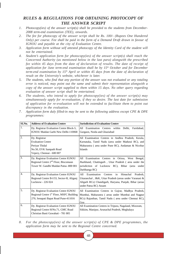#### *RULES & REGULATIONS FOR OBTAINING PHOTOCOPY OF THE ANSWER SCRIPT*

- *1. Photocopy(ies) of the answer script(s) shall be provided to the students from December-2008 term-end examination (TEE), onwards.*
- *2. The fee for photocopy of the answer script shall be Rs. 100/- (Rupees One Hundered Only) per course. Fee shall be paid in the form of a Demand Draft drawn in favour of IGNOU and payable at the city of Evaluation Centre.*
- *3. Application form without self attested photocopy of the Identity Card of the student will not be entertained.*
- *4. Student's application form for photocopy(ies) of the answer script(s) shall reach the Concerned Authority (as mentioned below in the last para) alongwith the prescribed fee within 45 days from the date of declaration of results. The date of receipt of application for June term-end examination shall be by 15th October and for December term-end examination by 15th April or within 45 days from the date of declaration of result on the University's website, whichever is later.*
- *5. The students, who find that any portion of the answer was not evaluated or any totaling error is noticed, may point out the same and submit their representation alongwith a copy of the answer script supplied to them within 15 days. No other query regarding evaluation of answer script shall be entertained.*
- *6. The students, who intend to apply for photocopy(ies) of the answer script(s) may simultaneously apply for re-evaluation, if they so desire. The last date for submission of application for re-evaluation will not be extended to facilitate them to point out discrepancy in the evaluation.*

| Application form duly filled-in may be sent to the following address except CPE & DPE |
|---------------------------------------------------------------------------------------|
| <i>programmes:</i>                                                                    |

| SI.No.           | <b>Address of Evaluation Centre</b>                                                                                                   | <b>Jurisdiction of Evaluation Centre</b>                                                                                                                                                                  |
|------------------|---------------------------------------------------------------------------------------------------------------------------------------|-----------------------------------------------------------------------------------------------------------------------------------------------------------------------------------------------------------|
| 1.               | Dy. Registrar Evaluation Centre Block-5,<br>IGNOU Maidan Garhi New Delhi-110068                                                       | All Examination Centres within Delhi.<br>Faridabad,<br>Gurgaon, Noida and Ghaziabad                                                                                                                       |
| 2.               | Dy. Registrar<br><b>Evaluation Centre</b><br>Periyar Thidal<br>No.50, EVK Sampath Road<br>Vepery, Chennai - 600 007                   | All Examination Centres in Andhra Pradesh, Kerala,<br>Karnataka, Tamil Nadu (area under Madurai RC), and<br>Maharastra (area under Pune RC), Andaman & Nicobar<br>Islands                                 |
| $\overline{3}$ . | Dy. Registrar Evaluation Centre IGNOU<br>Regional Centre 2 <sup>nd</sup> Floor, Biscomaun<br>Tower W. Gandhi Maidan Patna -800 001    | All Examination Centres in Orissa, West Bengal,<br>Jharkhand, Chattisgarh, Uttar Pradesh (area under the<br>jurisdiction of Lucknow RC), Bihar (area under<br>Darbhanga RC)                               |
| $\overline{4}$ . | Dy. Registrar Evaluation Centre IGNOU<br>Regional Centre B-1/33, Sector-H, Aliganj<br>Lucknow - 226 024                               | Examination<br>Centres<br>in<br>All<br>Himachal<br>Pradesh.<br>Uttaranchal, J&K, Uttar Pradesh (areas under Varanasi &<br>Aligarh RCs) Chandigarh, Haryana, Punjab, Bihar (areas<br>under Patna RC) Assam |
| 5.               | Dy. Registrar Evaluation Centre IGNOU<br>Regional Centre 1 <sup>st</sup> Floor, MSFC Building<br>270, Senapati Bapat Road Pune-411016 | All Examination Centres in Gujrat, Madhya Pradesh,<br>Mumbai, Maharastra (areas under Mumbai and Nagpur<br>RCs) Rajasthan, Tamil Nadu ( area under Chennai RC),<br>Goa                                    |
| 6.               | Dy. Registrar Evaluation Centre IGNOU<br>Regional Centre H/No.71, GMC Road<br>Christian Basti Guwahati - 781 005                      | All Examination Centres in Tripura, Nagaland, Mizoram,<br>Sikkim, Manipur, Arunachal Pradesh, Meghalaya                                                                                                   |

*8. For the photocopy(ies) of the answer script(s) of CPE & DPE programmes, the application form may be sent to the Regional Centre concerned.*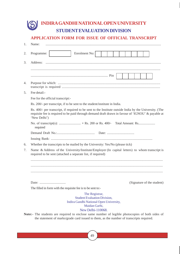# **INDIRA GANDHI NATIONAL OPEN UNIVERSITY STUDENT EVALUATION DIVISION**

#### **APPLICATION FORM FOR ISSUE OF OFFICIAL TRANSCRIPT**

| 1. | Name:                                                                                                                                                                                                                                     |
|----|-------------------------------------------------------------------------------------------------------------------------------------------------------------------------------------------------------------------------------------------|
| 2. | Enrolment No:<br>Programme:                                                                                                                                                                                                               |
| 3. | Address:                                                                                                                                                                                                                                  |
|    |                                                                                                                                                                                                                                           |
|    |                                                                                                                                                                                                                                           |
| 4. |                                                                                                                                                                                                                                           |
| 5. | Fee detail:-                                                                                                                                                                                                                              |
|    | Fee for the official transcript:-                                                                                                                                                                                                         |
|    | Rs. 200/- per transcript, if to be sent to the student/institute in India.                                                                                                                                                                |
|    | Rs. 400/- per transcript, if required to be sent to the Institute outside India by the University. (The<br>requisite fee is required to be paid through demand draft drawn in favour of 'IGNOU' & payable at<br>'New Delhi')              |
|    | Total Amount: Rs<br>required                                                                                                                                                                                                              |
|    |                                                                                                                                                                                                                                           |
|    |                                                                                                                                                                                                                                           |
| 6. | Whether the transcripts to be mailed by the University: Yes/No (please tick)                                                                                                                                                              |
| 7. | Name & Address of the University/Institute/Employer (In capital letters) to whom transcript is<br>required to be sent (attached a separate list, if required)                                                                             |
|    |                                                                                                                                                                                                                                           |
|    |                                                                                                                                                                                                                                           |
|    |                                                                                                                                                                                                                                           |
|    | (Signature of the student)<br>Date:                                                                                                                                                                                                       |
|    | The filled in form with the requisite fee is to be sent to:-                                                                                                                                                                              |
|    | The Registrar,<br><b>Student Evaluation Division,</b><br>Indira Gandhi National Open University,<br>Maidan Garhi,<br>New Delhi-110068.<br>Note:- The students are required to enclose same number of legible photocopies of both sides of |
|    | the statement of marks/grade card issued to them, as the number of transcripts required.                                                                                                                                                  |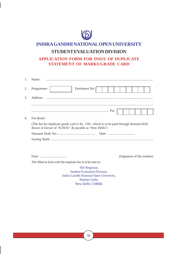# **INDIRA GANDHI NATIONAL OPEN UNIVERSITY STUDENT EVALUATION DIVISION APPLICATION FORM FOR ISSUE OF DUPLICATE STATEMENT OF MARKS/GRADE CARD**

| $\mathbf{1}$ . | Name:                                                                                                                                           |                            |
|----------------|-------------------------------------------------------------------------------------------------------------------------------------------------|----------------------------|
| 2.             | Programme:<br>Enrolment No:                                                                                                                     |                            |
| 3.             | Address:                                                                                                                                        |                            |
|                |                                                                                                                                                 |                            |
| 4.             | Fee detail:-                                                                                                                                    |                            |
|                | (The fee for duplicate grade card is Rs. 150/- which is to be paid through demand draft<br>drawn in favour of 'IGNOU' & payable at 'New Delhi') |                            |
|                |                                                                                                                                                 |                            |
|                |                                                                                                                                                 |                            |
|                |                                                                                                                                                 |                            |
|                | Date:                                                                                                                                           | (Signature of the student) |

The filled in form with the requisite fee is to be sent to:-

The Registrar, Student Evaluation Division, Indira Gandhi National Open University, Maidan Garhi, New Delhi-110068.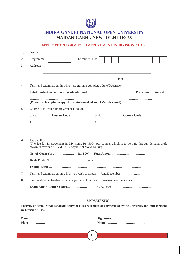

#### **INDIRA GANDHI NATIONAL OPEN UNIVERSITY MAIDAN GARHI, NEW DELHI-110068**

#### **APPLICATION FORM FOR IMPROVEMENT IN DIVISION CLASS**

| 1. |                     |                                                                                                                                                                |                    |                    |                                                       |  |
|----|---------------------|----------------------------------------------------------------------------------------------------------------------------------------------------------------|--------------------|--------------------|-------------------------------------------------------|--|
| 2. | Programme : $\vert$ |                                                                                                                                                                | Enrolment No:      |                    |                                                       |  |
| 3. |                     |                                                                                                                                                                |                    |                    |                                                       |  |
|    |                     |                                                                                                                                                                |                    |                    |                                                       |  |
|    |                     |                                                                                                                                                                |                    | Pin:               |                                                       |  |
| 4. |                     | Term-end examination, in which programme completed June/December:                                                                                              |                    |                    |                                                       |  |
|    |                     | Total marks/Overall point grade obtained                                                                                                                       |                    |                    | <b>Percentage obtained</b>                            |  |
|    |                     | (Please enclose photocopy of the statement of marks/grades card)                                                                                               |                    |                    |                                                       |  |
| 5. |                     | $Course(s)$ in which improvement is sought:-                                                                                                                   |                    |                    |                                                       |  |
|    | <b>S.No.</b>        | <b>Course Code</b>                                                                                                                                             | <b>S.No.</b>       | <b>Course Code</b> |                                                       |  |
|    | 1.                  |                                                                                                                                                                | 4.                 |                    |                                                       |  |
|    | 2.                  |                                                                                                                                                                | 5.                 |                    | <u> 1989 - Johann Stein, fransk politik (d. 1989)</u> |  |
|    | 3.                  | the contract of the contract of the contract of the contract of the contract of                                                                                |                    |                    |                                                       |  |
| 6. | Fee details:-       | (The fee for Improvement in Divisionis Rs. 500/- per course, which is to be paid through demand draft<br>drawn in favour of 'IGNOU' & payable at 'New Delhi'). |                    |                    |                                                       |  |
|    |                     |                                                                                                                                                                |                    |                    |                                                       |  |
|    |                     |                                                                                                                                                                |                    |                    |                                                       |  |
|    |                     |                                                                                                                                                                |                    |                    |                                                       |  |
| 7. |                     | Term-end examination, in which you wish to appear: - June/December                                                                                             |                    |                    |                                                       |  |
| 8. |                     | Examination centre details, where you wish to appear in term-end examination:-                                                                                 |                    |                    |                                                       |  |
|    |                     | <b>Examination Centre Code:</b>                                                                                                                                |                    |                    |                                                       |  |
|    |                     |                                                                                                                                                                |                    |                    |                                                       |  |
|    |                     |                                                                                                                                                                | <b>UNDERTAKING</b> |                    |                                                       |  |
|    | in Division/Class.  | I hereby undertake that I shall abide by the rules & regulations prescribed by the University for improvement                                                  |                    |                    |                                                       |  |
|    | Date                |                                                                                                                                                                |                    |                    |                                                       |  |
|    | Place               |                                                                                                                                                                |                    |                    |                                                       |  |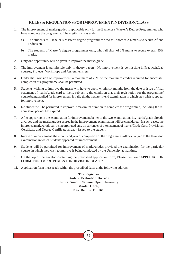#### **RULES & REGULATIONS FOR IMPROVEMENT IN DIVISION/CLASS**

- 1. The improvement of marks/grades is applicable only for the Bachelor's/Master's Degree Programmes, who have complete the programme. The eligibility is as under:
	- a) The students of Bachelor's/Master's degree programmes who fall short of 2% marks to secure  $2<sup>nd</sup>$  and 1<sup>st</sup> division.
	- b) The students of Master's degree programmes only, who fall short of 2% marks to secure overall 55% marks.
- 2. Only one opportunity will be given to improve the marks/grade.
- 3. The improvement is permissible only in theory papers. No improvement is permissible in Practicals/Lab courses, Projects, Workshops and Assignments etc.
- 4. Under the Provision of improvement, a maximum of 25% of the maximum credits required for successful completion of a programme shall be permitted.
- 5. Students wishing to improve the marks will have to apply within six months from the date of issue of final statement of marks/grade card to them, subject to the condition that their registration for the programme/ course being applied for improvement, is valid till the next term-end examination in which they wish to appear for improvement.
- 6. No student will be permitted to improve if maximum duration to complete the programme, including the readmission period, has expired.
- 7. After appearing in the examination for improvement, better of the two examinations i.e. marks/grade already awarded and the marks/grade secured in the improvement examination will be considered. In such cases, the improved marks/grade can be incorporated only on surrender of the statement of marks/Grade Card, Provisional Certificate and Degree Certificate already issued to the student.
- 8. In case of improvement, the month and year of completion of the programme will be changed to the Term-end examination in which students appeared for improvement.
- 9. Students will be permitted for improvement of marks/grades provided the examination for the particular course, in which they wish to improve is being conducted by the University at that time.
- 10. On the top of the envelop containing the prescribed application form, Please mention **"APPLICATION FORM FOR IMPROVEMENT IN DIVISION/CLASS"**.
- 11. Application form must reach within the prescribed dates at the following address:

**The Registrar Student Evaluation Division Indira Gandhi National Open University Maidan Garhi, New Delhi – 110 068.**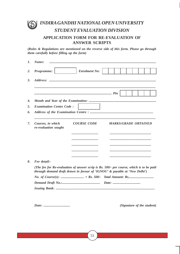| INDIRA GANDHI NATIONAL OPEN UNIVERSITY **G** STUDENT EVALUATION DIVISION APPLICATION FORM FOR RE-EVALUATION OF **ANSWER SCRIPTS** 

(Rules & Regulations are mentioned on the reverse side of this form. Please go through them carefully before filling up the form)

| 1. | Name:                                                                                                                                                                |  |
|----|----------------------------------------------------------------------------------------------------------------------------------------------------------------------|--|
| 2. | <b>Enrolment No:</b><br>Programme:                                                                                                                                   |  |
| 3. |                                                                                                                                                                      |  |
|    |                                                                                                                                                                      |  |
|    |                                                                                                                                                                      |  |
| 4. |                                                                                                                                                                      |  |
| 5. | <b>Examination Centre Code:</b>                                                                                                                                      |  |
| 6. |                                                                                                                                                                      |  |
| 7. | <b>COURSE CODE</b><br>Courses, in which<br><b>MARKS/GRADE OBTAINED</b><br>re-evaluation sought                                                                       |  |
|    |                                                                                                                                                                      |  |
|    |                                                                                                                                                                      |  |
|    |                                                                                                                                                                      |  |
|    |                                                                                                                                                                      |  |
|    |                                                                                                                                                                      |  |
| 8. | Fee detail:-                                                                                                                                                         |  |
|    | (The fee for Re-evaluation of answer scrip is Rs. 500/- per course, which is to be paid<br>through demand draft drawn in favour of 'IGNOU' & payable at 'New Delhi') |  |
|    | <i>No. of Course(s): </i> × Rs. 500/- <i>Total Amount: Rs</i>                                                                                                        |  |
|    |                                                                                                                                                                      |  |
|    |                                                                                                                                                                      |  |
|    |                                                                                                                                                                      |  |
|    |                                                                                                                                                                      |  |

(Signature of the student)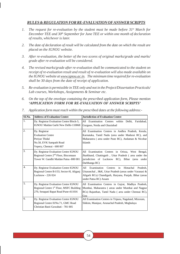#### *RULES & REGULATION FOR RE-EVALUATION OFANSWER SCRIPTS*

- *1. The request for re-evaluation by the student must be made before 31st March for December TEE and 30th September for June TEE or within one month of declaration of results, whichever is later.*
- *2. The date of declaration of result will be calculated from the date on which the result are placed on the IGNOU website.*
- *3. After re-evaluation, the better of the two scores of original marks/grade and marks/ grade after re-evaluation will be considered.*
- *4. The revised marks/grade after re-evaluation shall be communicated to the student on receipt of re-evaluation result and result of re-evaluation will also made available on the IGNOU website at www.ignou.ac.in. The minimum time required for re-evaluation shall be 30 days from the date of receipt of application.*
- *5. Re-evaluation is permissible in TEE only and not in the Project/Dissertation Practicals/ Lab courses, Workshops, Assignments & Seminar etc.*
- *6. On the top of the envelope containing the prescribed application form, Please mention 'APPLICATION FORM FOR RE-EVALUATION OF ANSWER SCRIPTS'*

| SI.No. | <b>Address of Evaluation Centre</b>                                                                                                   | <b>Jurisdiction of Evaluation Centre</b>                                                                                                                                                                  |
|--------|---------------------------------------------------------------------------------------------------------------------------------------|-----------------------------------------------------------------------------------------------------------------------------------------------------------------------------------------------------------|
| 1.     | Dy. Registrar Evaluation Centre Block-5,<br>IGNOU Maidan Garhi New Delhi-110068                                                       | All Examination Centres within Delhi, Faridabad,<br>Gurgaon, Noida and Ghaziabad                                                                                                                          |
| 2.     | Dy. Registrar<br><b>Evaluation Centre</b><br>Periyar Thidal<br>No.50, EVK Sampath Road<br>Vepery, Chennai - 600 007                   | All Examination Centres in Andhra Pradesh, Kerala,<br>Karnataka, Tamil Nadu (area under Madurai RC), and<br>Maharastra (area under Pune RC), Andaman & Nicobar<br><b>Islands</b>                          |
| 3.     | Dy. Registrar Evaluation Centre IGNOU<br>Regional Centre 2 <sup>nd</sup> Floor, Biscomaun<br>Tower W. Gandhi Maidan Patna -800 001    | All Examination Centres in Orissa, West Bengal,<br>Jharkhand, Chattisgarh, Uttar Pradesh (area under the<br>jurisdiction of Lucknow RC), Bihar (area under<br>Darbhanga RC)                               |
| 4.     | Dy. Registrar Evaluation Centre IGNOU<br>Regional Centre B-l/33, Sector-H, Aliganj<br>Lucknow - 226 024                               | Examination<br>All<br>Centres<br>in<br>Himachal<br>Pradesh,<br>Uttaranchal, J&K, Uttar Pradesh (areas under Varanasi &<br>Aligarh RCs) Chandigarh, Haryana, Punjab, Bihar (areas<br>under Patna RC) Assam |
| 5.     | Dy. Registrar Evaluation Centre IGNOU<br>Regional Centre 1 <sup>st</sup> Floor, MSFC Building<br>270, Senapati Bapat Road Pune-411016 | All Examination Centres in Guirat, Madhya Pradesh,<br>Mumbai, Maharastra (areas under Mumbai and Nagpur<br>RCs) Rajasthan, Tamil Nadu (area under Chennai RC),<br>Goa                                     |
| 6.     | Dy. Registrar Evaluation Centre IGNOU<br>Regional Centre H/No.71, GMC Road<br>Christian Basti Guwahati - 781 005                      | All Examination Centres in Tripura, Nagaland, Mizoram,<br>Sikkim, Manipur, Arunachal Pradesh, Meghalaya                                                                                                   |

*7. Application form must reach within the prescribed dates at the following address:-*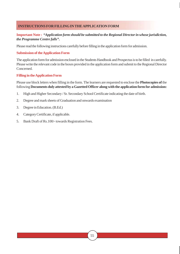#### **INSTRUCTIONS FOR FILLING IN THE APPLICATION FORM**

#### **Important Note :** *"Application form should be submitted to the Regional Director in whose jurisdiction, the Programme Centre falls".*

Please read the following instructions carefully before filling in the application form for admission.

#### **Submission of the Application Form**

The application form for admission enclosed in the Students Handbook and Prospectus is to be filled in carefully. Please write the relevant code in the boxes provided in the application form and submit to the Regional Director **Concerned** 

#### **Filling in the Application Form**

Please use block letters when filling in the form. The learners are requested to enclose the **Photocopies of** the following **Documents duly attested by a Gazetted Officer along with the application form for admission:**

- 1. High and Higher Secondary / Sr. Secondary School Certificate indicating the date of birth.
- 2. Degree and mark sheets of Graduation and onwards examination
- 3. Degree in Education. (B.Ed.)
- 4. Category Certificate, if applicable.
- 5. Bank Draft of Rs.100/- towards Registration Fees.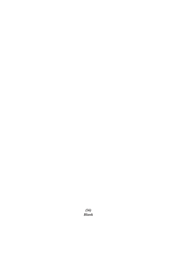*(56) Blank*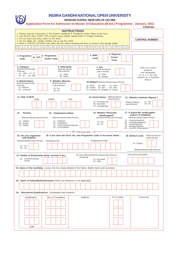

#### **INDIRA GANDHI NATIONAL OPEN UNIVERSITY**

**MAIDAN GARHI, NEW DELHI-110 068**

#### **Application Form for Admission to Master of Education (M.Ed.) Programme - January, 2011**

|                                                                                                                                                                                                                                                                             | FORM NO.                                                   |
|-----------------------------------------------------------------------------------------------------------------------------------------------------------------------------------------------------------------------------------------------------------------------------|------------------------------------------------------------|
| <b>INSTRUCTIONS</b>                                                                                                                                                                                                                                                         |                                                            |
| 1. Please read the instructions in the Student Handbook & Prospectus before filling up the form.<br>2. Use BLACK BALL POINT PEN in boxes using English capital letters or English numerals.                                                                                 |                                                            |
| 3. Do not make any stray marks on the sheet.                                                                                                                                                                                                                                | <b>CONTROL NUMBER:</b>                                     |
| 4. Do not staple, pin, wrinkle scribble, tear or wet this sheet.<br>5. Write in CAPITAL LETTERS only within the box without touching the lines as shown in the Sample below.                                                                                                |                                                            |
| $7\phantom{.0}$<br>B C D<br>F<br>$G$ $H$ $I$<br>U V W<br>$\overline{c}$<br>$\overline{3}$<br>$\overline{4}$<br>5<br>6<br>$\,$ 8 $\,$<br>9 A<br>$\,$ E<br>$_{\rm J}$<br>K<br>$\mathbf L$<br>M<br>$N$ O P<br>Q<br>$R \mid S$<br>$\mathbf{0}$<br>$\mathbf{1}$<br>T<br>X Y<br>Ζ |                                                            |
|                                                                                                                                                                                                                                                                             |                                                            |
| 4. Regional<br>3. State<br>2. Programme<br>1. Programme                                                                                                                                                                                                                     |                                                            |
| Centre<br>Ed.<br>М<br>Code<br><b>Centre Code</b><br>Code                                                                                                                                                                                                                    |                                                            |
| Code                                                                                                                                                                                                                                                                        |                                                            |
| 5. Category<br>6. Nationality<br>7. Sex                                                                                                                                                                                                                                     | Affix your latest                                          |
| (Write the relevant code<br>(Write the relevant<br>(Write the relevant<br>in the box)<br>code in the box)<br>code in the box)                                                                                                                                               | passport                                                   |
| A1 - GEN. C3 - ST<br>A1 - Indian<br>A1 - Male<br>D4 - OBC<br><b>B2 - SC</b>                                                                                                                                                                                                 | size photograph<br>$(4 cm x 5 cm)$ duly                    |
| B2 - Others<br>B2 - Female                                                                                                                                                                                                                                                  | attested by a Gazetted<br>Officer                          |
| 8. Marital Status<br>9. Whether Minority:<br>10. Religion (Write the relevant code in the box)<br>(Write the relevant code<br>(Write the relevant                                                                                                                           |                                                            |
| in the box)<br>code in the box)<br>D4 - Sikh<br>G7 - Parsi<br>A1 - Hindu<br>A1 - Married<br>B2 - Muslim E5 - Jain<br>H8 - Jews                                                                                                                                              |                                                            |
| A1 - Yes<br>B2 - Unmarried<br>C3 - Christian F6 - Buddhist I9 - Others<br><b>B2 - No</b>                                                                                                                                                                                    |                                                            |
|                                                                                                                                                                                                                                                                             |                                                            |
| 11. Date of Birth<br>(Write the relevant<br>12. Social Status<br>Year<br>code in the box)<br>Date<br>Month                                                                                                                                                                  | 13. Whether Kashmiri Migrant?                              |
| A1 - Ex-service man                                                                                                                                                                                                                                                         | A1 - Yes<br>(Write the relevant                            |
| B2 - War widow<br>C3 - Not applicable                                                                                                                                                                                                                                       | <b>B2 - No</b><br>code in the box)                         |
|                                                                                                                                                                                                                                                                             |                                                            |
| 16. Whether Physically<br>15. Employment Status<br>14.<br><b>Territory</b>                                                                                                                                                                                                  | 17. If physically handicapped<br>(nature of disability)    |
| Handicapped?<br>(Write the relevant code in the box)<br>(Write the relevant code in the box)<br>(Write the relevant code in the box)                                                                                                                                        | (Write the relevant code in the box)                       |
| A1 - Employed<br>A1 - URBAN<br>A1 - Yes                                                                                                                                                                                                                                     | A1 - Hearing Impaiment<br>B2 - Locomotor Impaiment         |
| B2 - Unemployed<br>B <sub>2</sub> - RURAL<br><b>B2 - No</b><br>C3 - IGNOU Regular Employee<br>C3 - TRIBAL                                                                                                                                                                   | C3 - Visual Impaiment<br>D4 - Reading Disability           |
| D4 - KVS Employee                                                                                                                                                                                                                                                           | E5 - Any other, Please specify                             |
| $\leftarrow$ Fold from here $\rightarrow$                                                                                                                                                                                                                                   |                                                            |
| 19. If yes write the Enrol. No. and Programme Code in the boxes below :<br>18. Are your registered<br>with (IGNOU)                                                                                                                                                          | (Write the relevant<br>20. Medium Code<br>code in the box) |
| Programme Code<br>(Write the relevant code in the box)<br>Enrolment No.                                                                                                                                                                                                     |                                                            |
| A1 - Yes                                                                                                                                                                                                                                                                    | A1 - English                                               |
| <b>B2 - No</b>                                                                                                                                                                                                                                                              | (Write the relevant code in the box)                       |
|                                                                                                                                                                                                                                                                             | (c) Family income (yearly)                                 |
| (b) Dept. Offering (Write the relevant code in the box)<br>21. Details of Scholarship being received if any :<br>Scholarship<br>(a) Annual Scholarship                                                                                                                      |                                                            |
| A1 - Govt Deptt.<br>Amount<br>B <sub>2</sub> - Other                                                                                                                                                                                                                        |                                                            |
|                                                                                                                                                                                                                                                                             |                                                            |
| 22. Name of the Candidate (Leave one box empty between First Name, Middle Name and Surname)                                                                                                                                                                                 |                                                            |
|                                                                                                                                                                                                                                                                             |                                                            |
|                                                                                                                                                                                                                                                                             |                                                            |
| 23. Name of Father/Mother/Husband (Strike out whichever is not applicable)                                                                                                                                                                                                  |                                                            |
|                                                                                                                                                                                                                                                                             |                                                            |
|                                                                                                                                                                                                                                                                             |                                                            |
| 24. Educational Qualifications: (Graduation and onwards)                                                                                                                                                                                                                    |                                                            |
| Year of Completion<br><b>Subjects</b><br>% of marks<br>Qualification                                                                                                                                                                                                        | University                                                 |
|                                                                                                                                                                                                                                                                             |                                                            |
|                                                                                                                                                                                                                                                                             |                                                            |
|                                                                                                                                                                                                                                                                             |                                                            |
|                                                                                                                                                                                                                                                                             |                                                            |
|                                                                                                                                                                                                                                                                             |                                                            |
|                                                                                                                                                                                                                                                                             |                                                            |
|                                                                                                                                                                                                                                                                             |                                                            |
| Code                                                                                                                                                                                                                                                                        |                                                            |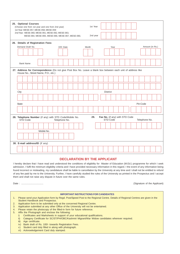|                                                                            | 25. Optional Courses<br>(Choose one from 1st year and one from 2nd year)<br>1st Year: MESE-057, MESE-058, MESE-059<br>2nd Year: MESE-060, MESE-061, MESE-062, MESE-063,<br>MESE-064, MESE-065, MESE-066, MESE-067, MESE-060, |                  |  |  |  |  |  |  |               |  | 1st Year<br>2nd year |                                                        |  |  |  |     |  |                 |          |  |  |  |                                |          |                 |  |
|----------------------------------------------------------------------------|------------------------------------------------------------------------------------------------------------------------------------------------------------------------------------------------------------------------------|------------------|--|--|--|--|--|--|---------------|--|----------------------|--------------------------------------------------------|--|--|--|-----|--|-----------------|----------|--|--|--|--------------------------------|----------|-----------------|--|
| 26. Details of Registration Fees:<br>Demand Draft No.<br>D/D Date<br>Month |                                                                                                                                                                                                                              |                  |  |  |  |  |  |  |               |  |                      |                                                        |  |  |  |     |  |                 |          |  |  |  |                                |          |                 |  |
|                                                                            |                                                                                                                                                                                                                              |                  |  |  |  |  |  |  |               |  |                      |                                                        |  |  |  |     |  |                 | Year     |  |  |  |                                |          | Amount (in Rs.) |  |
|                                                                            |                                                                                                                                                                                                                              | <b>Bank Name</b> |  |  |  |  |  |  |               |  |                      |                                                        |  |  |  |     |  |                 |          |  |  |  |                                |          |                 |  |
|                                                                            | 27. Address for Correspondence (Do not give Post Box No. Leave a blank box between each unit of address like<br>House No., Street Name, P.O., etc.)                                                                          |                  |  |  |  |  |  |  |               |  |                      |                                                        |  |  |  |     |  |                 |          |  |  |  |                                |          |                 |  |
|                                                                            |                                                                                                                                                                                                                              |                  |  |  |  |  |  |  |               |  |                      |                                                        |  |  |  |     |  |                 |          |  |  |  |                                |          |                 |  |
|                                                                            |                                                                                                                                                                                                                              |                  |  |  |  |  |  |  |               |  |                      |                                                        |  |  |  |     |  |                 |          |  |  |  |                                |          |                 |  |
|                                                                            | City                                                                                                                                                                                                                         |                  |  |  |  |  |  |  |               |  |                      |                                                        |  |  |  |     |  | <b>District</b> |          |  |  |  |                                |          |                 |  |
|                                                                            |                                                                                                                                                                                                                              |                  |  |  |  |  |  |  |               |  |                      |                                                        |  |  |  |     |  |                 |          |  |  |  |                                |          |                 |  |
|                                                                            | <b>State</b>                                                                                                                                                                                                                 |                  |  |  |  |  |  |  |               |  |                      |                                                        |  |  |  |     |  |                 |          |  |  |  |                                | Pin Code |                 |  |
|                                                                            |                                                                                                                                                                                                                              |                  |  |  |  |  |  |  |               |  |                      |                                                        |  |  |  |     |  |                 |          |  |  |  |                                |          |                 |  |
|                                                                            |                                                                                                                                                                                                                              | STD Code         |  |  |  |  |  |  | Telephone No. |  |                      | 28. Telephone Number (if any) with STD Code/Mobile No. |  |  |  | 29. |  |                 | STD Code |  |  |  | Fax No. (if any) with STD Code |          | Telephone No.   |  |
|                                                                            |                                                                                                                                                                                                                              |                  |  |  |  |  |  |  |               |  |                      |                                                        |  |  |  |     |  |                 |          |  |  |  |                                |          |                 |  |
|                                                                            | Mobile No.                                                                                                                                                                                                                   |                  |  |  |  |  |  |  |               |  |                      |                                                        |  |  |  |     |  |                 |          |  |  |  |                                |          |                 |  |
|                                                                            |                                                                                                                                                                                                                              |                  |  |  |  |  |  |  |               |  |                      |                                                        |  |  |  |     |  |                 |          |  |  |  |                                |          |                 |  |
|                                                                            | 30. E-mail address/ID (if any)                                                                                                                                                                                               |                  |  |  |  |  |  |  |               |  |                      |                                                        |  |  |  |     |  |                 |          |  |  |  |                                |          |                 |  |
|                                                                            |                                                                                                                                                                                                                              |                  |  |  |  |  |  |  |               |  |                      |                                                        |  |  |  |     |  |                 |          |  |  |  |                                |          |                 |  |

#### **DECLARATION BY THE APPLICANT**

I hereby declare that I have read and understood the conditions of eligibility for Master of Education (M.Ed.) programme for which I seek admission. I fulfil the minimum eligibility criteria and I have provided necessary information in this regard. I the event of any information being found incorrect or misleading, my candidature shall be liable to cancellation by the University at any time and I shall not be entitled to refund of any fee paid by me to the University. Further, I have carefully studied the rules of the University as printed in the Prospectus and I accept them and shall not raise any dispute in future over the same rules.

Date : ................................. (Signature of the Applicant)

#### **IMPORTANT INSTRUCTIONS FOR CANDIDATES**

- 1. Please send your Application form by Regd. Post/Speed Post to the Regional Centre. Details of Regional Centres are given in the Student Handbook and Prospectus.
- 2. Application form to be submitted only at the concerned Regional Centre.
- 3. Application submitted at any other Office of the University will not be entertained.
- 4. Please retain the photocopy of the filled-in form for future reference.<br>5. Affix the Photograph and enclose the following:
- Affix the Photograph and enclose the following:
	- i) Certificates and Marksheets in support of your educational qualifications.
	- ii) Category Certificate for SC/ST/PH/OBC/Kashmiri Migrant/War Widow candidates wherever required.
	- iii) Age certificate.
	- iv) Bank draft of Rs. 100/- towards Registration Fees.
	- v) Student card duly filled in along with photograph.
	- vi) Acknowledgement Card duly stamped.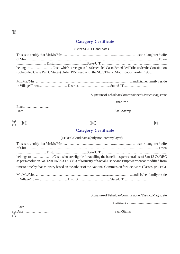| <b>Category Certificate</b> |
|-----------------------------|
|                             |

|  | <b>Category Certificate</b>                                                                                                                                                                                           |  |  |  |  |
|--|-----------------------------------------------------------------------------------------------------------------------------------------------------------------------------------------------------------------------|--|--|--|--|
|  |                                                                                                                                                                                                                       |  |  |  |  |
|  | (i) for SC/ST Candidates<br>(Scheduled Caste Part C States) Order 1951 read with the SC/ST lists (Modification) order, 1956.                                                                                          |  |  |  |  |
|  | in Village/TownDistrictState/U.T                                                                                                                                                                                      |  |  |  |  |
|  | Signature of Tehsildar/Commissioner/District Magistrate                                                                                                                                                               |  |  |  |  |
|  |                                                                                                                                                                                                                       |  |  |  |  |
|  |                                                                                                                                                                                                                       |  |  |  |  |
|  | Saal/Stamp                                                                                                                                                                                                            |  |  |  |  |
|  |                                                                                                                                                                                                                       |  |  |  |  |
|  | <b>Category Certificate</b>                                                                                                                                                                                           |  |  |  |  |
|  | (ii) OBC Candidates (only non-creamy layer)                                                                                                                                                                           |  |  |  |  |
|  | as per Resolution No. 12011/68/93-DCC(C) of Ministry of Social Justice and Empowerment as modified from<br>time to time by that Ministry based on the advice of the National Commission for Backward Classes. (NCBC). |  |  |  |  |
|  |                                                                                                                                                                                                                       |  |  |  |  |
|  | Signature of Tehsildar/Commissioner/District Magistrate                                                                                                                                                               |  |  |  |  |
|  |                                                                                                                                                                                                                       |  |  |  |  |
|  | Saal/Stamp<br>$\mathbb{Q}$ <i>D</i> ate                                                                                                                                                                               |  |  |  |  |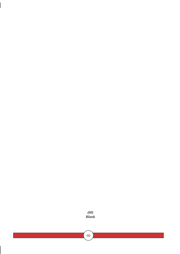

60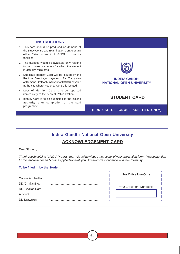#### **INSTRUCTIONS**

- 1. This card should be produced on demand at the Study Centre and Examination Centre or any other Establishment of IGNOU to use its facilities.
- 2. The facilities would be available only relating to the course or courses for which the student is actually registered.
- 3. Duplicate Identity Card will be issued by the Regional Director, on payment of Rs. 20/- by way of Demand Draft only in favour of IGNOU payable at the city where Regional Centre is located.
- 4. Loss of Identity Card is to be reported immediately to the nearest Police Station.
- 5. Identity Card is to be submitted to the issuing authority after completion of the said programme.



#### **INDIRA GANDHI NATIONAL OPEN UNIVERSITY**

#### **STUDENT CARD**

**(FOR USE OF IGNOU FACILITIES ONLY)**

## **Indira Gandhi National Open University ACKNOWLEDGEMENT CARD**

*Dear Student,*

*Thank you for joining IGNOU Programme. We acknowledge the receipt of your application form. Please mention Enrolment Number and course applied for in all your future correspondence with the University.*

#### **To be filled in by the Student.**

|                    |   | <b>For Office Use Only</b> |
|--------------------|---|----------------------------|
| Course Applied for |   |                            |
| DD/Challan No.     |   |                            |
| DD/Challan Date    |   | Your Enrolment Number is   |
| Amount             |   |                            |
| DD Drawn on        | . |                            |